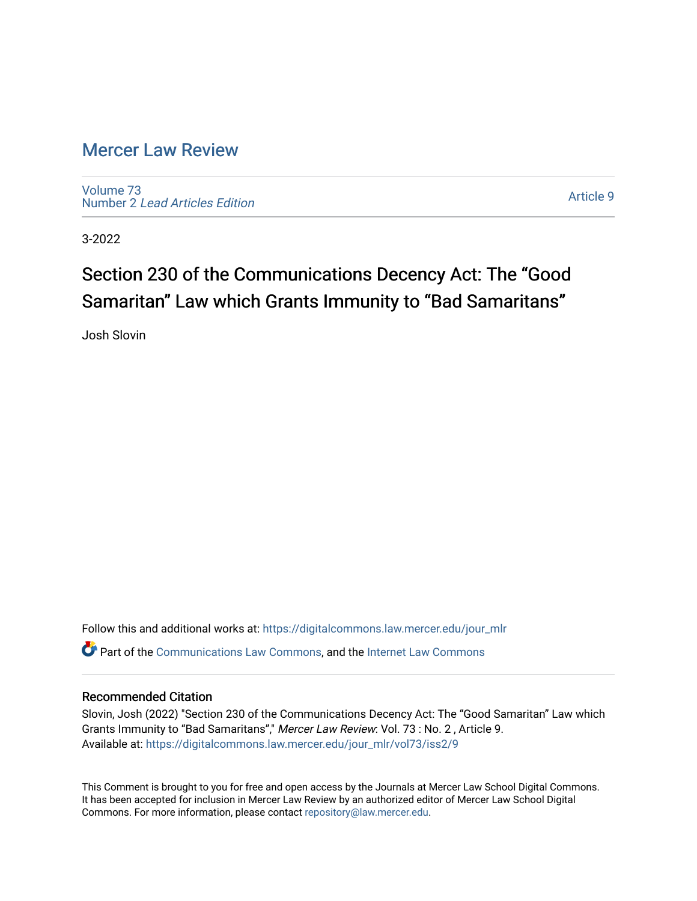# [Mercer Law Review](https://digitalcommons.law.mercer.edu/jour_mlr)

[Volume 73](https://digitalcommons.law.mercer.edu/jour_mlr/vol73) Number 2 [Lead Articles Edition](https://digitalcommons.law.mercer.edu/jour_mlr/vol73/iss2)

[Article 9](https://digitalcommons.law.mercer.edu/jour_mlr/vol73/iss2/9) 

3-2022

# Section 230 of the Communications Decency Act: The "Good Samaritan" Law which Grants Immunity to "Bad Samaritans"

Josh Slovin

Follow this and additional works at: [https://digitalcommons.law.mercer.edu/jour\\_mlr](https://digitalcommons.law.mercer.edu/jour_mlr?utm_source=digitalcommons.law.mercer.edu%2Fjour_mlr%2Fvol73%2Fiss2%2F9&utm_medium=PDF&utm_campaign=PDFCoverPages) **P** Part of the [Communications Law Commons,](http://network.bepress.com/hgg/discipline/587?utm_source=digitalcommons.law.mercer.edu%2Fjour_mlr%2Fvol73%2Fiss2%2F9&utm_medium=PDF&utm_campaign=PDFCoverPages) and the [Internet Law Commons](http://network.bepress.com/hgg/discipline/892?utm_source=digitalcommons.law.mercer.edu%2Fjour_mlr%2Fvol73%2Fiss2%2F9&utm_medium=PDF&utm_campaign=PDFCoverPages)

# Recommended Citation

Slovin, Josh (2022) "Section 230 of the Communications Decency Act: The "Good Samaritan" Law which Grants Immunity to "Bad Samaritans"," Mercer Law Review: Vol. 73 : No. 2 , Article 9. Available at: [https://digitalcommons.law.mercer.edu/jour\\_mlr/vol73/iss2/9](https://digitalcommons.law.mercer.edu/jour_mlr/vol73/iss2/9?utm_source=digitalcommons.law.mercer.edu%2Fjour_mlr%2Fvol73%2Fiss2%2F9&utm_medium=PDF&utm_campaign=PDFCoverPages)

This Comment is brought to you for free and open access by the Journals at Mercer Law School Digital Commons. It has been accepted for inclusion in Mercer Law Review by an authorized editor of Mercer Law School Digital Commons. For more information, please contact [repository@law.mercer.edu.](mailto:repository@law.mercer.edu)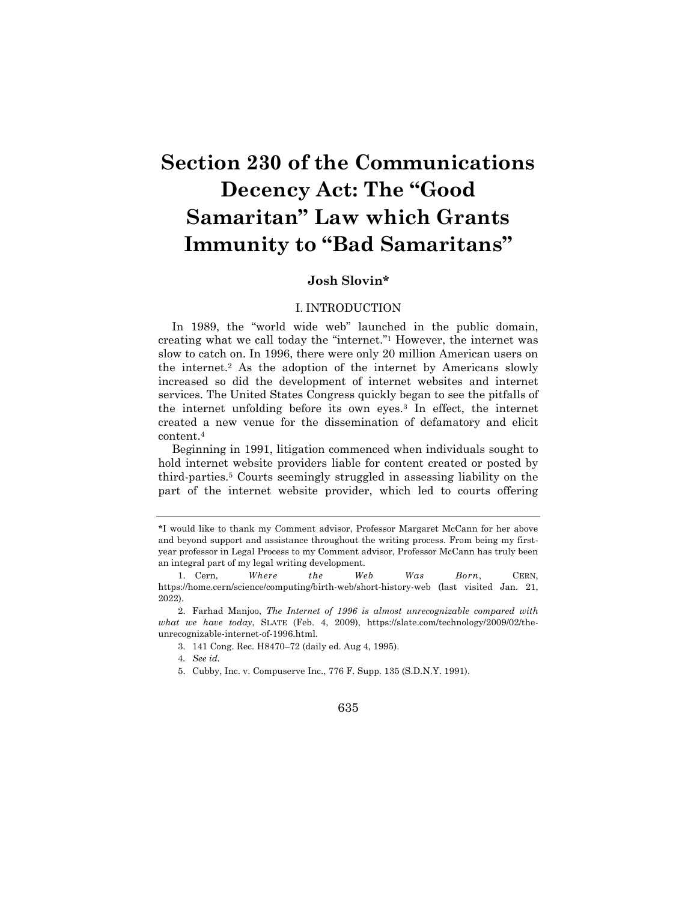# **Section 230 of the Communications Decency Act: The "Good Samaritan" Law which Grants Immunity to "Bad Samaritans"**

# **Josh Slovin\***

# I. INTRODUCTION

In 1989, the "world wide web" launched in the public domain, creating what we call today the "internet."<sup>1</sup> However, the internet was slow to catch on. In 1996, there were only 20 million American users on the internet.<sup>2</sup> As the adoption of the internet by Americans slowly increased so did the development of internet websites and internet services. The United States Congress quickly began to see the pitfalls of the internet unfolding before its own eyes.<sup>3</sup> In effect, the internet created a new venue for the dissemination of defamatory and elicit content.<sup>4</sup>

Beginning in 1991, litigation commenced when individuals sought to hold internet website providers liable for content created or posted by third-parties.<sup>5</sup> Courts seemingly struggled in assessing liability on the part of the internet website provider, which led to courts offering

<sup>\*</sup>I would like to thank my Comment advisor, Professor Margaret McCann for her above and beyond support and assistance throughout the writing process. From being my firstyear professor in Legal Process to my Comment advisor, Professor McCann has truly been an integral part of my legal writing development.

<sup>1.</sup> Cern, *Where the Web Was Born*, CERN, https://home.cern/science/computing/birth-web/short-history-web (last visited Jan. 21, 2022).

<sup>2.</sup> Farhad Manjoo, *The Internet of 1996 is almost unrecognizable compared with what we have today*, SLATE (Feb. 4, 2009), https://slate.com/technology/2009/02/theunrecognizable-internet-of-1996.html.

<sup>3.</sup> 141 Cong. Rec. H8470–72 (daily ed. Aug 4, 1995).

<sup>4</sup>*. See id.*

<sup>5.</sup> Cubby, Inc. v. Compuserve Inc., 776 F. Supp. 135 (S.D.N.Y. 1991).

<sup>635</sup>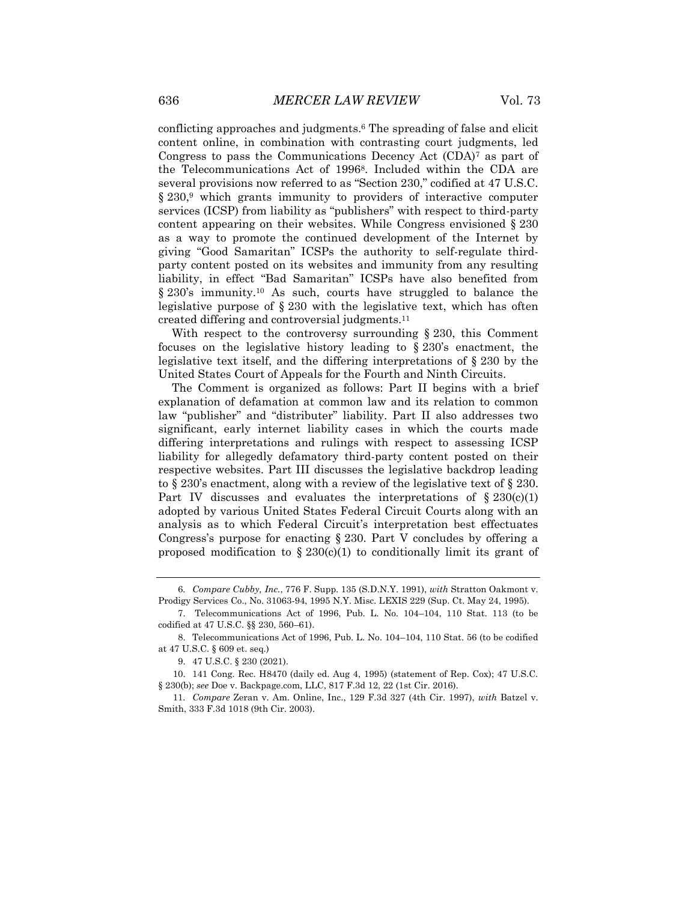conflicting approaches and judgments.<sup>6</sup> The spreading of false and elicit content online, in combination with contrasting court judgments, led Congress to pass the Communications Decency Act  $(CDA)^7$  as part of the Telecommunications Act of 19968. Included within the CDA are several provisions now referred to as "Section 230," codified at 47 U.S.C. § 230,<sup>9</sup> which grants immunity to providers of interactive computer services (ICSP) from liability as "publishers" with respect to third-party content appearing on their websites. While Congress envisioned § 230 as a way to promote the continued development of the Internet by giving "Good Samaritan" ICSPs the authority to self-regulate thirdparty content posted on its websites and immunity from any resulting liability, in effect "Bad Samaritan" ICSPs have also benefited from § 230's immunity.<sup>10</sup> As such, courts have struggled to balance the legislative purpose of § 230 with the legislative text, which has often created differing and controversial judgments.<sup>11</sup>

With respect to the controversy surrounding § 230, this Comment focuses on the legislative history leading to § 230's enactment, the legislative text itself, and the differing interpretations of § 230 by the United States Court of Appeals for the Fourth and Ninth Circuits.

The Comment is organized as follows: Part II begins with a brief explanation of defamation at common law and its relation to common law "publisher" and "distributer" liability. Part II also addresses two significant, early internet liability cases in which the courts made differing interpretations and rulings with respect to assessing ICSP liability for allegedly defamatory third-party content posted on their respective websites. Part III discusses the legislative backdrop leading to § 230's enactment, along with a review of the legislative text of § 230. Part IV discusses and evaluates the interpretations of  $\S 230(c)(1)$ adopted by various United States Federal Circuit Courts along with an analysis as to which Federal Circuit's interpretation best effectuates Congress's purpose for enacting § 230. Part V concludes by offering a proposed modification to  $\S 230(c)(1)$  to conditionally limit its grant of

<sup>6</sup>*. Compare Cubby, Inc.*, 776 F. Supp. 135 (S.D.N.Y. 1991), *with* Stratton Oakmont v. Prodigy Services Co., No. 31063-94, 1995 N.Y. Misc. LEXIS 229 (Sup. Ct. May 24, 1995).

<sup>7.</sup> Telecommunications Act of 1996, Pub. L. No. 104–104, 110 Stat. 113 (to be codified at 47 U.S.C. §§ 230, 560–61).

<sup>8.</sup> Telecommunications Act of 1996, Pub. L. No. 104–104, 110 Stat. 56 (to be codified at 47 U.S.C. § 609 et. seq.)

<sup>9.</sup> 47 U.S.C. § 230 (2021).

<sup>10.</sup> 141 Cong. Rec. H8470 (daily ed. Aug 4, 1995) (statement of Rep. Cox); 47 U.S.C. § 230(b); *see* Doe v. Backpage.com, LLC, 817 F.3d 12, 22 (1st Cir. 2016).

<sup>11</sup>*. Compare* Zeran v. Am. Online, Inc., 129 F.3d 327 (4th Cir. 1997), *with* Batzel v. Smith, 333 F.3d 1018 (9th Cir. 2003).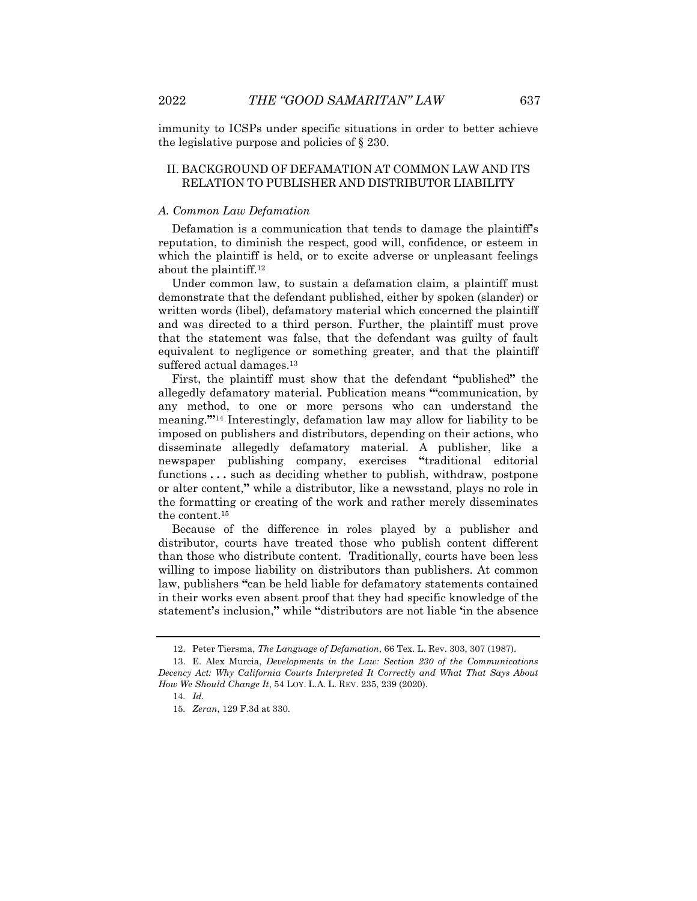immunity to ICSPs under specific situations in order to better achieve the legislative purpose and policies of § 230.

# II. BACKGROUND OF DEFAMATION AT COMMON LAW AND ITS RELATION TO PUBLISHER AND DISTRIBUTOR LIABILITY

#### *A. Common Law Defamation*

Defamation is a communication that tends to damage the plaintiff**'**s reputation, to diminish the respect, good will, confidence, or esteem in which the plaintiff is held, or to excite adverse or unpleasant feelings about the plaintiff.<sup>12</sup>

Under common law, to sustain a defamation claim, a plaintiff must demonstrate that the defendant published, either by spoken (slander) or written words (libel), defamatory material which concerned the plaintiff and was directed to a third person. Further, the plaintiff must prove that the statement was false, that the defendant was guilty of fault equivalent to negligence or something greater, and that the plaintiff suffered actual damages.<sup>13</sup>

First, the plaintiff must show that the defendant **"**published**"** the allegedly defamatory material. Publication means **"'**communication, by any method, to one or more persons who can understand the meaning.**'"** <sup>14</sup> Interestingly, defamation law may allow for liability to be imposed on publishers and distributors, depending on their actions, who disseminate allegedly defamatory material. A publisher, like a newspaper publishing company, exercises **"**traditional editorial functions **. . .** such as deciding whether to publish, withdraw, postpone or alter content,**"** while a distributor, like a newsstand, plays no role in the formatting or creating of the work and rather merely disseminates the content.<sup>15</sup>

Because of the difference in roles played by a publisher and distributor, courts have treated those who publish content different than those who distribute content. Traditionally, courts have been less willing to impose liability on distributors than publishers. At common law, publishers **"**can be held liable for defamatory statements contained in their works even absent proof that they had specific knowledge of the statement**'**s inclusion,**"** while **"**distributors are not liable **'**in the absence

<sup>12.</sup> Peter Tiersma, *The Language of Defamation*, 66 Tex. L. Rev. 303, 307 (1987).

<sup>13.</sup> E. Alex Murcia, *Developments in the Law: Section 230 of the Communications Decency Act: Why California Courts Interpreted It Correctly and What That Says About How We Should Change It*, 54 LOY. L.A. L. REV. 235, 239 (2020).

<sup>14</sup>*. Id.*

<sup>15</sup>*. Zeran*, 129 F.3d at 330.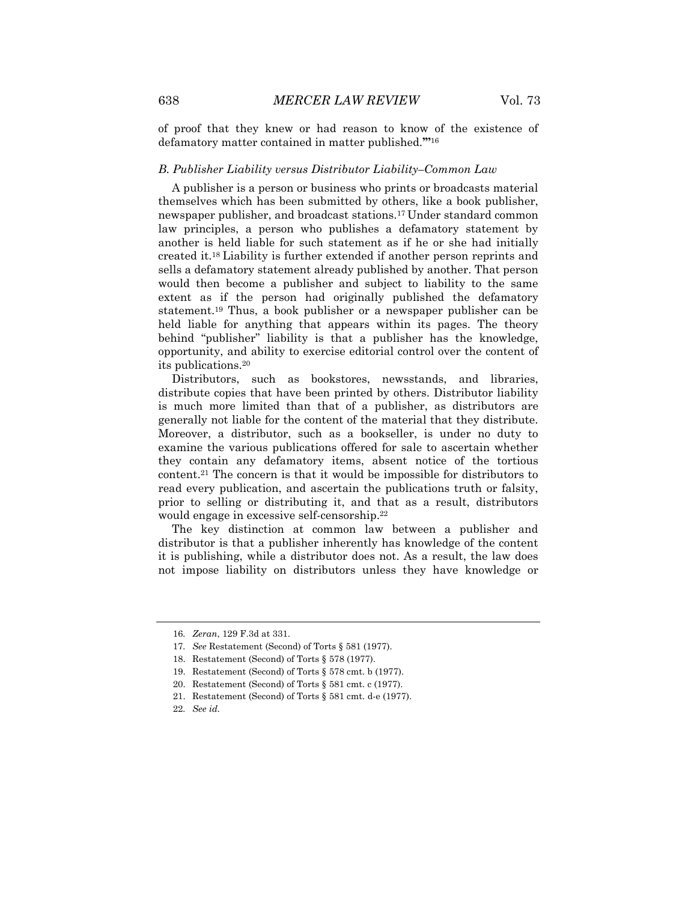of proof that they knew or had reason to know of the existence of defamatory matter contained in matter published.**'"** 16

#### *B. Publisher Liability versus Distributor Liability–Common Law*

A publisher is a person or business who prints or broadcasts material themselves which has been submitted by others, like a book publisher, newspaper publisher, and broadcast stations.<sup>17</sup> Under standard common law principles, a person who publishes a defamatory statement by another is held liable for such statement as if he or she had initially created it.<sup>18</sup> Liability is further extended if another person reprints and sells a defamatory statement already published by another. That person would then become a publisher and subject to liability to the same extent as if the person had originally published the defamatory statement.<sup>19</sup> Thus, a book publisher or a newspaper publisher can be held liable for anything that appears within its pages. The theory behind "publisher" liability is that a publisher has the knowledge, opportunity, and ability to exercise editorial control over the content of its publications.<sup>20</sup>

Distributors, such as bookstores, newsstands, and libraries, distribute copies that have been printed by others. Distributor liability is much more limited than that of a publisher, as distributors are generally not liable for the content of the material that they distribute. Moreover, a distributor, such as a bookseller, is under no duty to examine the various publications offered for sale to ascertain whether they contain any defamatory items, absent notice of the tortious content.<sup>21</sup> The concern is that it would be impossible for distributors to read every publication, and ascertain the publications truth or falsity, prior to selling or distributing it, and that as a result, distributors would engage in excessive self-censorship.<sup>22</sup>

The key distinction at common law between a publisher and distributor is that a publisher inherently has knowledge of the content it is publishing, while a distributor does not. As a result, the law does not impose liability on distributors unless they have knowledge or

<sup>16</sup>*. Zeran*, 129 F.3d at 331.

<sup>17</sup>*. See* Restatement (Second) of Torts § 581 (1977).

<sup>18.</sup> Restatement (Second) of Torts § 578 (1977).

<sup>19.</sup> Restatement (Second) of Torts § 578 cmt. b (1977).

<sup>20.</sup> Restatement (Second) of Torts § 581 cmt. c (1977).

<sup>21.</sup> Restatement (Second) of Torts § 581 cmt. d-e (1977).

<sup>22</sup>*. See id.*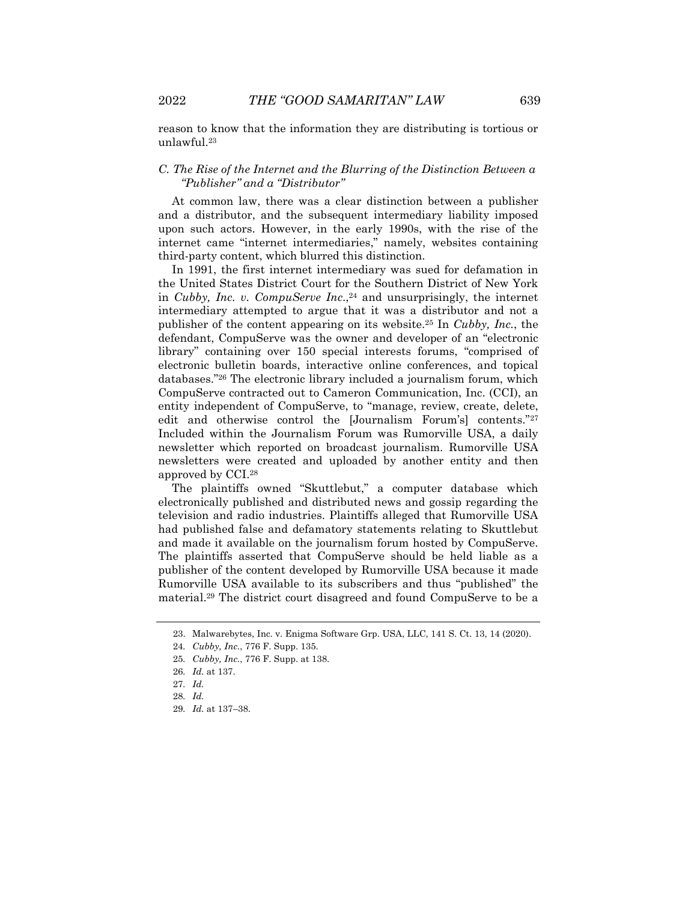reason to know that the information they are distributing is tortious or unlawful.<sup>23</sup>

# *C. The Rise of the Internet and the Blurring of the Distinction Between a "Publisher" and a "Distributor"*

At common law, there was a clear distinction between a publisher and a distributor, and the subsequent intermediary liability imposed upon such actors. However, in the early 1990s, with the rise of the internet came "internet intermediaries," namely, websites containing third-party content, which blurred this distinction.

In 1991, the first internet intermediary was sued for defamation in the United States District Court for the Southern District of New York in *Cubby, Inc. v. CompuServe Inc*., <sup>24</sup> and unsurprisingly, the internet intermediary attempted to argue that it was a distributor and not a publisher of the content appearing on its website.<sup>25</sup> In *Cubby, Inc.*, the defendant, CompuServe was the owner and developer of an "electronic library" containing over 150 special interests forums, "comprised of electronic bulletin boards, interactive online conferences, and topical databases."<sup>26</sup> The electronic library included a journalism forum, which CompuServe contracted out to Cameron Communication, Inc. (CCI), an entity independent of CompuServe, to "manage, review, create, delete, edit and otherwise control the [Journalism Forum's] contents."<sup>27</sup> Included within the Journalism Forum was Rumorville USA, a daily newsletter which reported on broadcast journalism. Rumorville USA newsletters were created and uploaded by another entity and then approved by CCI.<sup>28</sup>

The plaintiffs owned "Skuttlebut," a computer database which electronically published and distributed news and gossip regarding the television and radio industries. Plaintiffs alleged that Rumorville USA had published false and defamatory statements relating to Skuttlebut and made it available on the journalism forum hosted by CompuServe. The plaintiffs asserted that CompuServe should be held liable as a publisher of the content developed by Rumorville USA because it made Rumorville USA available to its subscribers and thus "published" the material.<sup>29</sup> The district court disagreed and found CompuServe to be a

<sup>23.</sup> Malwarebytes, Inc. v. Enigma Software Grp. USA, LLC, 141 S. Ct. 13, 14 (2020).

<sup>24</sup>*. Cubby, Inc.*, 776 F. Supp. 135.

<sup>25</sup>*. Cubby, Inc.*, 776 F. Supp. at 138.

<sup>26</sup>*. Id.* at 137.

<sup>27</sup>*. Id.*

<sup>28</sup>*. Id.*

<sup>29</sup>*. Id.* at 137–38.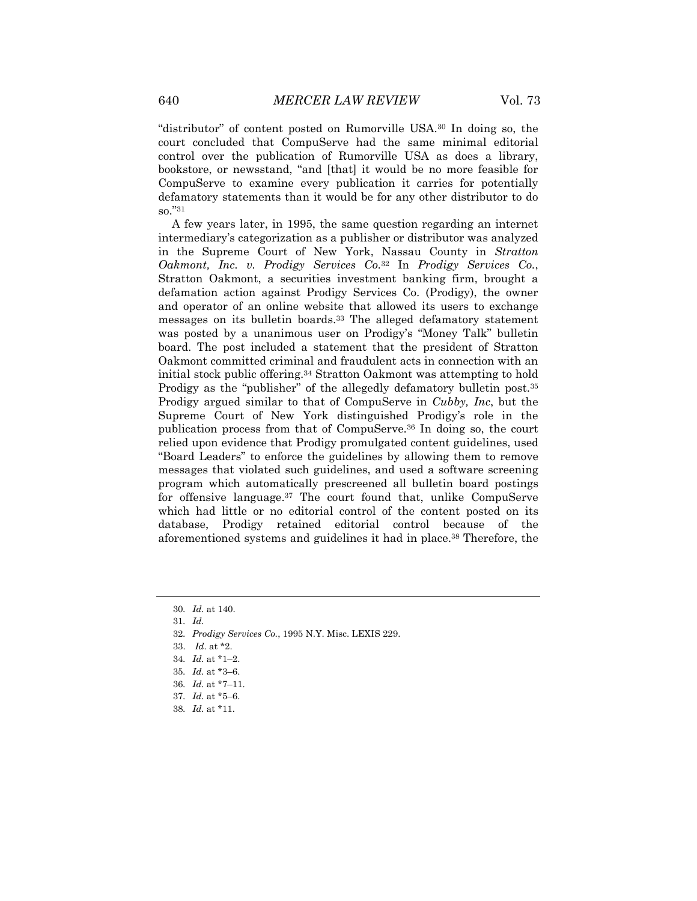"distributor" of content posted on Rumorville USA.<sup>30</sup> In doing so, the court concluded that CompuServe had the same minimal editorial control over the publication of Rumorville USA as does a library, bookstore, or newsstand, "and [that] it would be no more feasible for CompuServe to examine every publication it carries for potentially defamatory statements than it would be for any other distributor to do so."<sup>31</sup>

A few years later, in 1995, the same question regarding an internet intermediary's categorization as a publisher or distributor was analyzed in the Supreme Court of New York, Nassau County in *Stratton Oakmont, Inc. v. Prodigy Services Co.*<sup>32</sup> In *Prodigy Services Co.*, Stratton Oakmont, a securities investment banking firm, brought a defamation action against Prodigy Services Co. (Prodigy), the owner and operator of an online website that allowed its users to exchange messages on its bulletin boards.<sup>33</sup> The alleged defamatory statement was posted by a unanimous user on Prodigy's "Money Talk" bulletin board. The post included a statement that the president of Stratton Oakmont committed criminal and fraudulent acts in connection with an initial stock public offering.<sup>34</sup> Stratton Oakmont was attempting to hold Prodigy as the "publisher" of the allegedly defamatory bulletin post.<sup>35</sup> Prodigy argued similar to that of CompuServe in *Cubby, Inc*, but the Supreme Court of New York distinguished Prodigy's role in the publication process from that of CompuServe*.* <sup>36</sup> In doing so, the court relied upon evidence that Prodigy promulgated content guidelines, used "Board Leaders" to enforce the guidelines by allowing them to remove messages that violated such guidelines, and used a software screening program which automatically prescreened all bulletin board postings for offensive language.<sup>37</sup> The court found that, unlike CompuServe which had little or no editorial control of the content posted on its database, Prodigy retained editorial control because of the aforementioned systems and guidelines it had in place.<sup>38</sup> Therefore, the

31*. Id.*

32*. Prodigy Services Co.*, 1995 N.Y. Misc. LEXIS 229.

- 36*. Id.* at \*7–11.
- 37*. Id.* at \*5–6.
- 38*. Id.* at \*11.

<sup>30</sup>*. Id.* at 140.

<sup>33.</sup> *Id*. at \*2.

<sup>34</sup>*. Id.* at \*1–2.

<sup>35</sup>*. Id.* at \*3–6.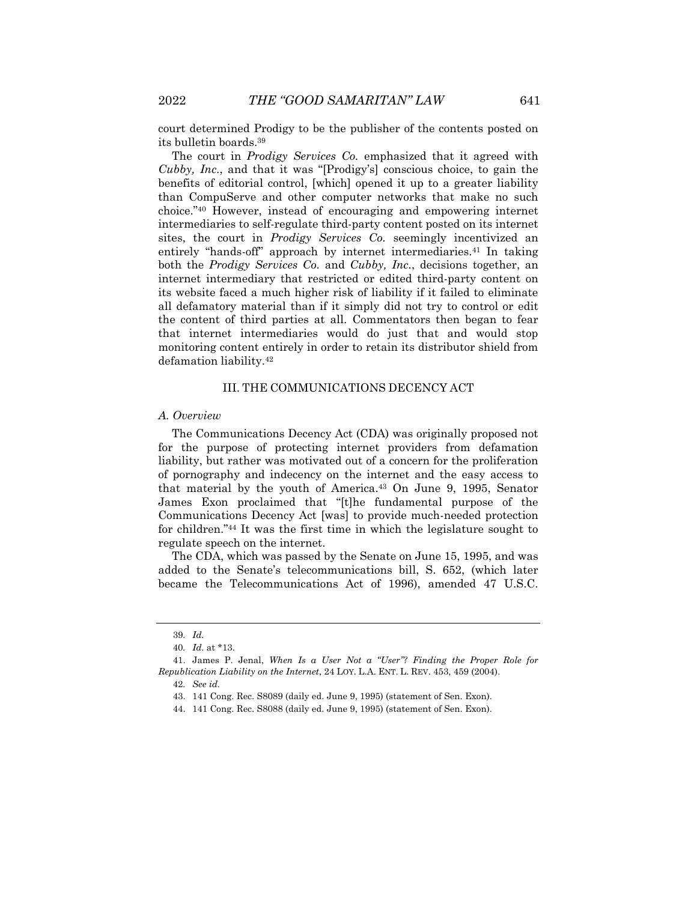court determined Prodigy to be the publisher of the contents posted on its bulletin boards.<sup>39</sup>

The court in *Prodigy Services Co.* emphasized that it agreed with *Cubby, Inc.*, and that it was "[Prodigy's] conscious choice, to gain the benefits of editorial control, [which] opened it up to a greater liability than CompuServe and other computer networks that make no such choice."<sup>40</sup> However, instead of encouraging and empowering internet intermediaries to self-regulate third-party content posted on its internet sites, the court in *Prodigy Services Co.* seemingly incentivized an entirely "hands-off" approach by internet intermediaries.<sup>41</sup> In taking both the *Prodigy Services Co.* and *Cubby, Inc.*, decisions together, an internet intermediary that restricted or edited third-party content on its website faced a much higher risk of liability if it failed to eliminate all defamatory material than if it simply did not try to control or edit the content of third parties at all. Commentators then began to fear that internet intermediaries would do just that and would stop monitoring content entirely in order to retain its distributor shield from defamation liability.<sup>42</sup>

# III. THE COMMUNICATIONS DECENCY ACT

#### *A. Overview*

The Communications Decency Act (CDA) was originally proposed not for the purpose of protecting internet providers from defamation liability, but rather was motivated out of a concern for the proliferation of pornography and indecency on the internet and the easy access to that material by the youth of America.<sup>43</sup> On June 9, 1995, Senator James Exon proclaimed that "[t]he fundamental purpose of the Communications Decency Act [was] to provide much-needed protection for children."<sup>44</sup> It was the first time in which the legislature sought to regulate speech on the internet.

The CDA, which was passed by the Senate on June 15, 1995, and was added to the Senate's telecommunications bill, S. 652, (which later became the Telecommunications Act of 1996), amended 47 U.S.C.

<sup>39</sup>*. Id.*

<sup>40</sup>*. Id*. at \*13.

<sup>41.</sup> James P. Jenal, *When Is a User Not a "User"? Finding the Proper Role for Republication Liability on the Internet*, 24 LOY. L.A. ENT. L. REV. 453, 459 (2004).

<sup>42</sup>*. See id.*

<sup>43.</sup> 141 Cong. Rec. S8089 (daily ed. June 9, 1995) (statement of Sen. Exon).

<sup>44.</sup> 141 Cong. Rec. S8088 (daily ed. June 9, 1995) (statement of Sen. Exon).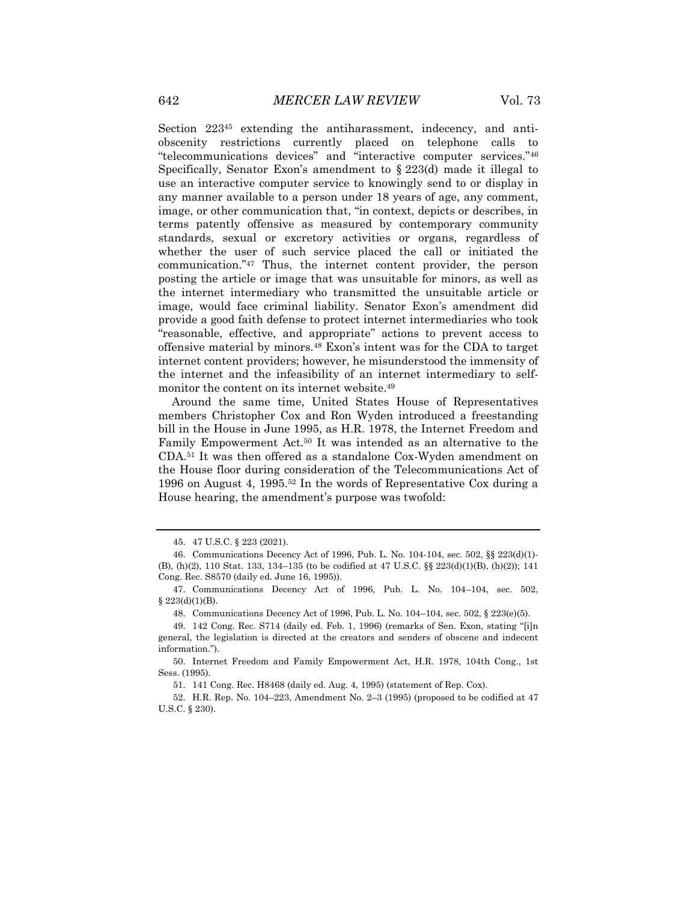Section 223<sup>45</sup> extending the antiharassment, indecency, and antiobscenity restrictions currently placed on telephone calls to "telecommunications devices" and "interactive computer services."<sup>46</sup> Specifically, Senator Exon's amendment to § 223(d) made it illegal to use an interactive computer service to knowingly send to or display in any manner available to a person under 18 years of age, any comment, image, or other communication that, "in context, depicts or describes, in terms patently offensive as measured by contemporary community standards, sexual or excretory activities or organs, regardless of whether the user of such service placed the call or initiated the communication."<sup>47</sup> Thus, the internet content provider, the person posting the article or image that was unsuitable for minors, as well as the internet intermediary who transmitted the unsuitable article or image, would face criminal liability. Senator Exon's amendment did provide a good faith defense to protect internet intermediaries who took "reasonable, effective, and appropriate" actions to prevent access to offensive material by minors.<sup>48</sup> Exon's intent was for the CDA to target internet content providers; however, he misunderstood the immensity of the internet and the infeasibility of an internet intermediary to selfmonitor the content on its internet website.<sup>49</sup>

Around the same time, United States House of Representatives members Christopher Cox and Ron Wyden introduced a freestanding bill in the House in June 1995, as H.R. 1978, the Internet Freedom and Family Empowerment Act.<sup>50</sup> It was intended as an alternative to the CDA.<sup>51</sup> It was then offered as a standalone Cox-Wyden amendment on the House floor during consideration of the Telecommunications Act of 1996 on August 4, 1995.<sup>52</sup> In the words of Representative Cox during a House hearing, the amendment's purpose was twofold:

<sup>45.</sup> 47 U.S.C. § 223 (2021).

<sup>46.</sup> Communications Decency Act of 1996, Pub. L. No. 104-104, sec. 502, §§ 223(d)(1)- (B), (h)(2), 110 Stat. 133, 134–135 (to be codified at 47 U.S.C. §§ 223(d)(1)(B), (h)(2)); 141 Cong. Rec. S8570 (daily ed. June 16, 1995)).

<sup>47.</sup> Communications Decency Act of 1996, Pub. L. No. 104–104, sec. 502,  $$223(d)(1)(B).$ 

<sup>48.</sup> Communications Decency Act of 1996, Pub. L. No. 104–104, sec. 502, § 223(e)(5).

<sup>49.</sup> 142 Cong. Rec. S714 (daily ed. Feb. 1, 1996) (remarks of Sen. Exon, stating "[i]n general, the legislation is directed at the creators and senders of obscene and indecent information.").

<sup>50.</sup> Internet Freedom and Family Empowerment Act, H.R. 1978, 104th Cong., 1st Sess. (1995).

<sup>51.</sup> 141 Cong. Rec. H8468 (daily ed. Aug. 4, 1995) (statement of Rep. Cox).

<sup>52.</sup> H.R. Rep. No. 104–223, Amendment No. 2–3 (1995) (proposed to be codified at 47 U.S.C. § 230).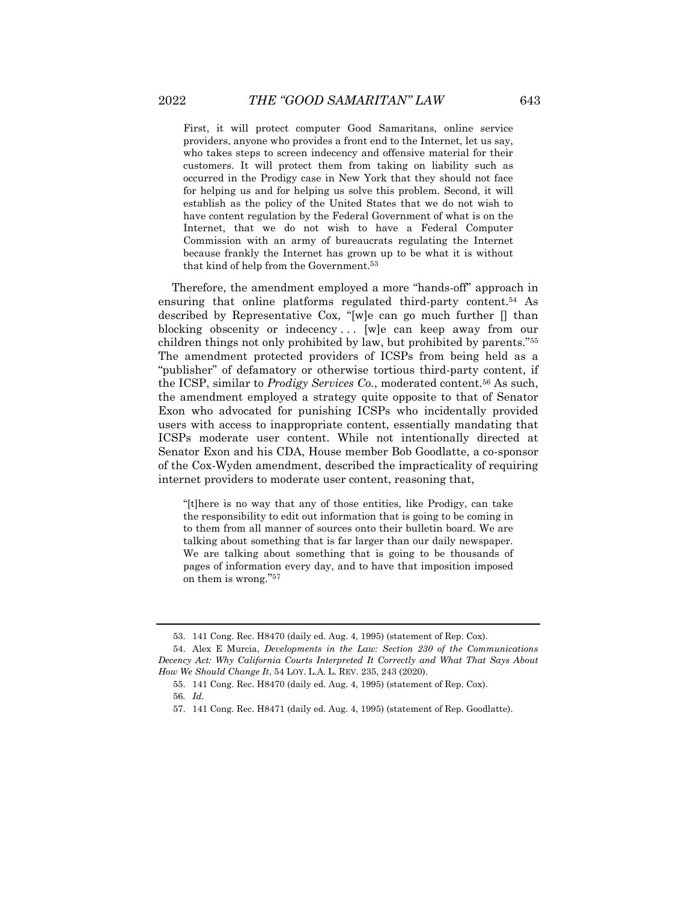First, it will protect computer Good Samaritans, online service providers, anyone who provides a front end to the Internet, let us say, who takes steps to screen indecency and offensive material for their customers. It will protect them from taking on liability such as occurred in the Prodigy case in New York that they should not face for helping us and for helping us solve this problem. Second, it will establish as the policy of the United States that we do not wish to have content regulation by the Federal Government of what is on the Internet, that we do not wish to have a Federal Computer Commission with an army of bureaucrats regulating the Internet because frankly the Internet has grown up to be what it is without that kind of help from the Government.<sup>53</sup>

Therefore, the amendment employed a more "hands-off" approach in ensuring that online platforms regulated third-party content.<sup>54</sup> As described by Representative Cox, "[w]e can go much further [] than blocking obscenity or indecency ... [w]e can keep away from our children things not only prohibited by law, but prohibited by parents."<sup>55</sup> The amendment protected providers of ICSPs from being held as a "publisher" of defamatory or otherwise tortious third-party content, if the ICSP, similar to *Prodigy Services Co.*, moderated content.<sup>56</sup> As such, the amendment employed a strategy quite opposite to that of Senator Exon who advocated for punishing ICSPs who incidentally provided users with access to inappropriate content, essentially mandating that ICSPs moderate user content. While not intentionally directed at Senator Exon and his CDA, House member Bob Goodlatte, a co-sponsor of the Cox-Wyden amendment, described the impracticality of requiring internet providers to moderate user content, reasoning that,

"[t]here is no way that any of those entities, like Prodigy, can take the responsibility to edit out information that is going to be coming in to them from all manner of sources onto their bulletin board. We are talking about something that is far larger than our daily newspaper. We are talking about something that is going to be thousands of pages of information every day, and to have that imposition imposed on them is wrong." 57

<sup>53.</sup> 141 Cong. Rec. H8470 (daily ed. Aug. 4, 1995) (statement of Rep. Cox).

<sup>54.</sup> Alex E Murcia, *Developments in the Law: Section 230 of the Communications Decency Act: Why California Courts Interpreted It Correctly and What That Says About How We Should Change It*, 54 LOY. L.A. L. REV. 235, 243 (2020).

<sup>55.</sup> 141 Cong. Rec. H8470 (daily ed. Aug. 4, 1995) (statement of Rep. Cox).

<sup>56</sup>*. Id.*

<sup>57.</sup> 141 Cong. Rec. H8471 (daily ed. Aug. 4, 1995) (statement of Rep. Goodlatte).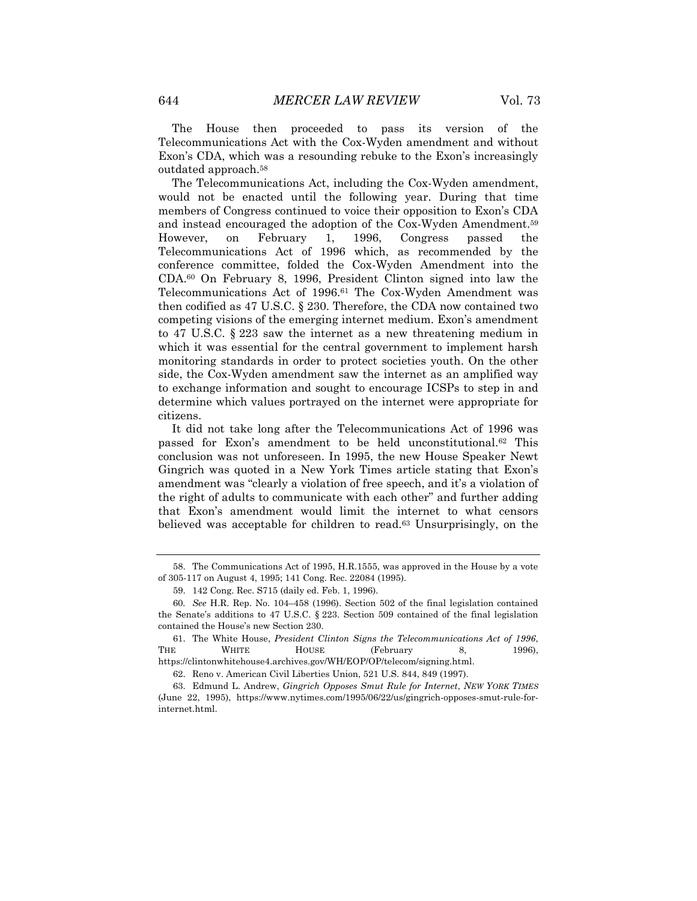The House then proceeded to pass its version of the Telecommunications Act with the Cox-Wyden amendment and without Exon's CDA, which was a resounding rebuke to the Exon's increasingly outdated approach.<sup>58</sup>

The Telecommunications Act, including the Cox-Wyden amendment, would not be enacted until the following year. During that time members of Congress continued to voice their opposition to Exon's CDA and instead encouraged the adoption of the Cox-Wyden Amendment.<sup>59</sup> However, on February 1, 1996, Congress passed the Telecommunications Act of 1996 which, as recommended by the conference committee, folded the Cox-Wyden Amendment into the CDA.<sup>60</sup> On February 8, 1996, President Clinton signed into law the Telecommunications Act of 1996.<sup>61</sup> The Cox-Wyden Amendment was then codified as 47 U.S.C. § 230. Therefore, the CDA now contained two competing visions of the emerging internet medium. Exon's amendment to 47 U.S.C. § 223 saw the internet as a new threatening medium in which it was essential for the central government to implement harsh monitoring standards in order to protect societies youth. On the other side, the Cox-Wyden amendment saw the internet as an amplified way to exchange information and sought to encourage ICSPs to step in and determine which values portrayed on the internet were appropriate for citizens.

It did not take long after the Telecommunications Act of 1996 was passed for Exon's amendment to be held unconstitutional.<sup>62</sup> This conclusion was not unforeseen. In 1995, the new House Speaker Newt Gingrich was quoted in a New York Times article stating that Exon's amendment was "clearly a violation of free speech, and it's a violation of the right of adults to communicate with each other" and further adding that Exon's amendment would limit the internet to what censors believed was acceptable for children to read.<sup>63</sup> Unsurprisingly, on the

https://clintonwhitehouse4.archives.gov/WH/EOP/OP/telecom/signing.html.

<sup>58.</sup> The Communications Act of 1995, H.R.1555, was approved in the House by a vote of 305-117 on August 4, 1995; 141 Cong. Rec. 22084 (1995).

<sup>59.</sup> 142 Cong. Rec. S715 (daily ed. Feb. 1, 1996).

<sup>60</sup>*. See* H.R. Rep. No. 104–458 (1996). Section 502 of the final legislation contained the Senate's additions to 47 U.S.C. § 223. Section 509 contained of the final legislation contained the House's new Section 230.

<sup>61.</sup> The White House, *President Clinton Signs the Telecommunications Act of 1996*, THE WHITE HOUSE (February 8, 1996),

<sup>62.</sup> Reno v. American Civil Liberties Union, 521 U.S. 844, 849 (1997).

<sup>63.</sup> Edmund L. Andrew, *Gingrich Opposes Smut Rule for Internet*, *NEW YORK TIMES* (June 22, 1995), https://www.nytimes.com/1995/06/22/us/gingrich-opposes-smut-rule-forinternet.html.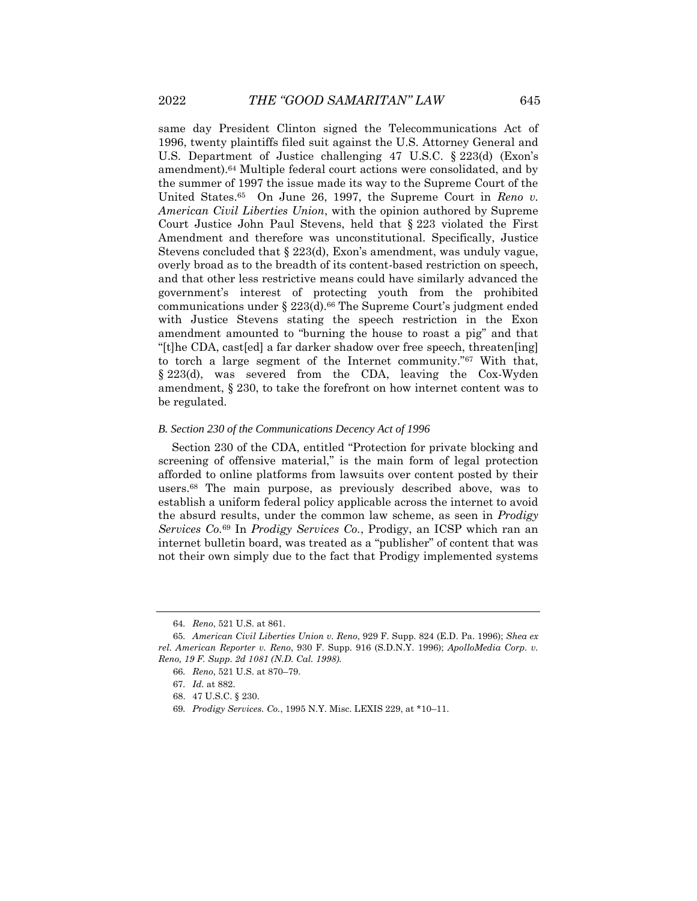same day President Clinton signed the Telecommunications Act of 1996, twenty plaintiffs filed suit against the U.S. Attorney General and U.S. Department of Justice challenging 47 U.S.C. § 223(d) (Exon's amendment).<sup>64</sup> Multiple federal court actions were consolidated, and by the summer of 1997 the issue made its way to the Supreme Court of the United States.65 On June 26, 1997, the Supreme Court in *Reno v. American Civil Liberties Union*, with the opinion authored by Supreme Court Justice John Paul Stevens, held that § 223 violated the First Amendment and therefore was unconstitutional. Specifically, Justice Stevens concluded that § 223(d), Exon's amendment, was unduly vague, overly broad as to the breadth of its content-based restriction on speech, and that other less restrictive means could have similarly advanced the government's interest of protecting youth from the prohibited communications under § 223(d).<sup>66</sup> The Supreme Court's judgment ended with Justice Stevens stating the speech restriction in the Exon amendment amounted to "burning the house to roast a pig" and that "[t]he CDA, cast[ed] a far darker shadow over free speech, threaten[ing] to torch a large segment of the Internet community."<sup>67</sup> With that, § 223(d), was severed from the CDA, leaving the Cox-Wyden amendment, § 230, to take the forefront on how internet content was to be regulated.

#### *B. Section 230 of the Communications Decency Act of 1996*

Section 230 of the CDA, entitled "Protection for private blocking and screening of offensive material," is the main form of legal protection afforded to online platforms from lawsuits over content posted by their users.<sup>68</sup> The main purpose, as previously described above, was to establish a uniform federal policy applicable across the internet to avoid the absurd results, under the common law scheme, as seen in *Prodigy Services Co.*<sup>69</sup> In *Prodigy Services Co.*, Prodigy, an ICSP which ran an internet bulletin board, was treated as a "publisher" of content that was not their own simply due to the fact that Prodigy implemented systems

<sup>64</sup>*. Reno*, 521 U.S. at 861.

<sup>65</sup>*. American Civil Liberties Union v. Reno*, 929 F. Supp. 824 (E.D. Pa. 1996); *Shea ex rel. American Reporter v. Reno*, 930 F. Supp. 916 (S.D.N.Y. 1996); *ApolloMedia Corp. v. Reno, 19 F. Supp. 2d 1081 (N.D. Cal. 1998).*

<sup>66</sup>*. Reno*, 521 U.S. at 870–79.

<sup>67</sup>*. Id.* at 882.

<sup>68.</sup> 47 U.S.C. § 230.

<sup>69</sup>*. Prodigy Services. Co.*, 1995 N.Y. Misc. LEXIS 229, at \*10–11.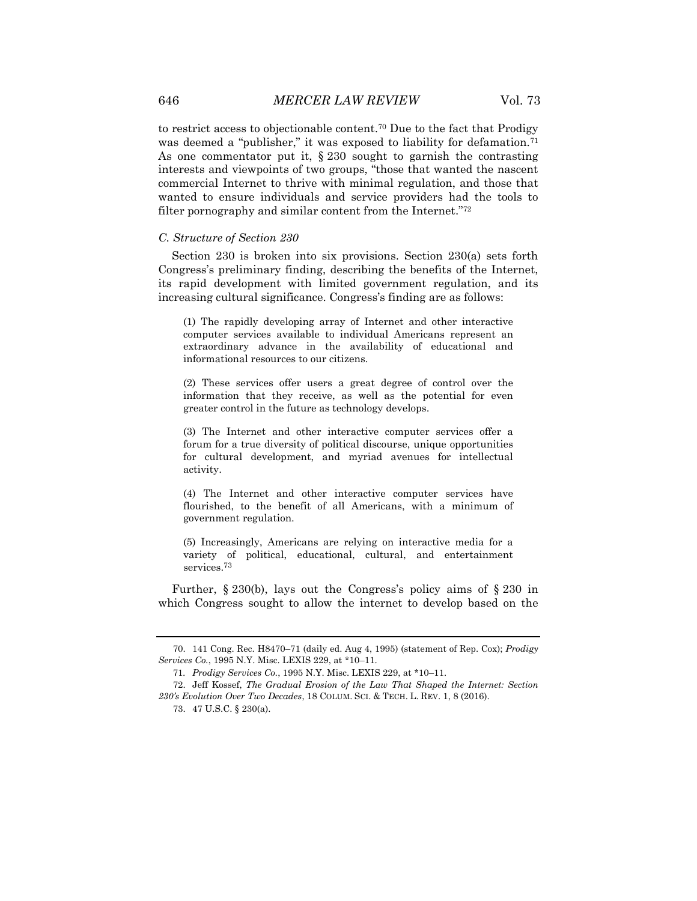to restrict access to objectionable content.<sup>70</sup> Due to the fact that Prodigy was deemed a "publisher," it was exposed to liability for defamation.<sup>71</sup> As one commentator put it,  $\S 230$  sought to garnish the contrasting interests and viewpoints of two groups, "those that wanted the nascent commercial Internet to thrive with minimal regulation, and those that wanted to ensure individuals and service providers had the tools to filter pornography and similar content from the Internet."<sup>72</sup>

# *C. Structure of Section 230*

Section 230 is broken into six provisions. Section 230(a) sets forth Congress's preliminary finding, describing the benefits of the Internet, its rapid development with limited government regulation, and its increasing cultural significance. Congress's finding are as follows:

(1) The rapidly developing array of Internet and other interactive computer services available to individual Americans represent an extraordinary advance in the availability of educational and informational resources to our citizens.

(2) These services offer users a great degree of control over the information that they receive, as well as the potential for even greater control in the future as technology develops.

(3) The Internet and other interactive computer services offer a forum for a true diversity of political discourse, unique opportunities for cultural development, and myriad avenues for intellectual activity.

(4) The Internet and other interactive computer services have flourished, to the benefit of all Americans, with a minimum of government regulation.

(5) Increasingly, Americans are relying on interactive media for a variety of political, educational, cultural, and entertainment services.<sup>73</sup>

Further, § 230(b), lays out the Congress's policy aims of § 230 in which Congress sought to allow the internet to develop based on the

<sup>70.</sup> 141 Cong. Rec. H8470–71 (daily ed. Aug 4, 1995) (statement of Rep. Cox); *Prodigy Services Co.*, 1995 N.Y. Misc. LEXIS 229, at \*10–11.

<sup>71</sup>*. Prodigy Services Co.*, 1995 N.Y. Misc. LEXIS 229, at \*10–11.

<sup>72.</sup> Jeff Kossef, *The Gradual Erosion of the Law That Shaped the Internet: Section 230's Evolution Over Two Decades*, 18 COLUM. SCI. & TECH. L. REV. 1, 8 (2016).

<sup>73.</sup> 47 U.S.C. § 230(a).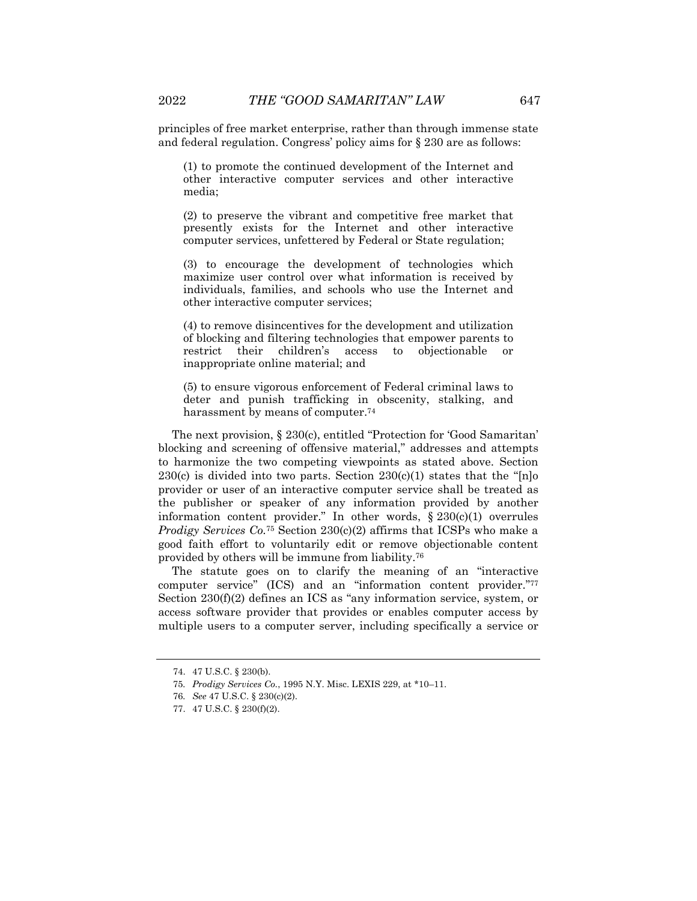principles of free market enterprise, rather than through immense state and federal regulation. Congress' policy aims for § 230 are as follows:

(1) to promote the continued development of the Internet and other interactive computer services and other interactive media;

(2) to preserve the vibrant and competitive free market that presently exists for the Internet and other interactive computer services, unfettered by Federal or State regulation;

(3) to encourage the development of technologies which maximize user control over what information is received by individuals, families, and schools who use the Internet and other interactive computer services;

(4) to remove disincentives for the development and utilization of blocking and filtering technologies that empower parents to restrict their children's access to objectionable or inappropriate online material; and

(5) to ensure vigorous enforcement of Federal criminal laws to deter and punish trafficking in obscenity, stalking, and harassment by means of computer.<sup>74</sup>

The next provision, § 230(c), entitled "Protection for 'Good Samaritan' blocking and screening of offensive material," addresses and attempts to harmonize the two competing viewpoints as stated above. Section  $230(c)$  is divided into two parts. Section  $230(c)(1)$  states that the "[n]o provider or user of an interactive computer service shall be treated as the publisher or speaker of any information provided by another information content provider." In other words, § 230(c)(1) overrules *Prodigy Services Co.*<sup>75</sup> Section 230(c)(2) affirms that ICSPs who make a good faith effort to voluntarily edit or remove objectionable content provided by others will be immune from liability.<sup>76</sup>

The statute goes on to clarify the meaning of an "interactive computer service" (ICS) and an "information content provider." 77 Section 230(f)(2) defines an ICS as "any information service, system, or access software provider that provides or enables computer access by multiple users to a computer server, including specifically a service or

<sup>74.</sup> 47 U.S.C. § 230(b).

<sup>75</sup>*. Prodigy Services Co.*, 1995 N.Y. Misc. LEXIS 229, at \*10–11.

<sup>76</sup>*. See* 47 U.S.C. § 230(c)(2).

<sup>77.</sup> 47 U.S.C. § 230(f)(2).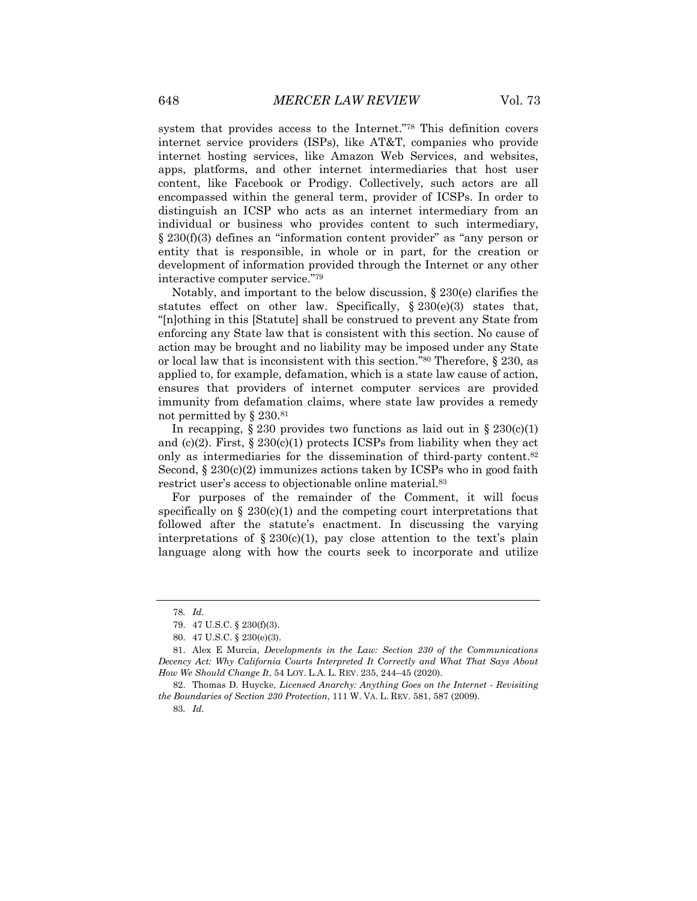system that provides access to the Internet." <sup>78</sup> This definition covers internet service providers (ISPs), like AT&T, companies who provide internet hosting services, like Amazon Web Services, and websites, apps, platforms, and other internet intermediaries that host user content, like Facebook or Prodigy. Collectively, such actors are all encompassed within the general term, provider of ICSPs. In order to distinguish an ICSP who acts as an internet intermediary from an individual or business who provides content to such intermediary, § 230(f)(3) defines an "information content provider" as "any person or entity that is responsible, in whole or in part, for the creation or development of information provided through the Internet or any other interactive computer service." 79

Notably, and important to the below discussion, § 230(e) clarifies the statutes effect on other law. Specifically,  $\S 230(e)(3)$  states that, "[n]othing in this [Statute] shall be construed to prevent any State from enforcing any State law that is consistent with this section. No cause of action may be brought and no liability may be imposed under any State or local law that is inconsistent with this section." <sup>80</sup> Therefore, § 230, as applied to, for example, defamation, which is a state law cause of action, ensures that providers of internet computer services are provided immunity from defamation claims, where state law provides a remedy not permitted by § 230.<sup>81</sup>

In recapping,  $\S 230$  provides two functions as laid out in  $\S 230(c)(1)$ and (c)(2). First,  $\S 230(c)(1)$  protects ICSPs from liability when they act only as intermediaries for the dissemination of third-party content.<sup>82</sup> Second,  $\S 230(c)(2)$  immunizes actions taken by ICSPs who in good faith restrict user's access to objectionable online material.<sup>83</sup>

For purposes of the remainder of the Comment, it will focus specifically on  $\S 230(c)(1)$  and the competing court interpretations that followed after the statute's enactment. In discussing the varying interpretations of  $\S 230(c)(1)$ , pay close attention to the text's plain language along with how the courts seek to incorporate and utilize

<sup>78</sup>*. Id*.

<sup>79.</sup> 47 U.S.C. § 230(f)(3).

<sup>80.</sup> 47 U.S.C. § 230(e)(3).

<sup>81.</sup> Alex E Murcia, *Developments in the Law: Section 230 of the Communications Decency Act: Why California Courts Interpreted It Correctly and What That Says About How We Should Change It*, 54 LOY. L.A. L. REV. 235, 244–45 (2020).

<sup>82.</sup> Thomas D. Huycke, *Licensed Anarchy: Anything Goes on the Internet - Revisiting the Boundaries of Section 230 Protection*, 111 W. VA. L. REV. 581, 587 (2009).

<sup>83</sup>*. Id.*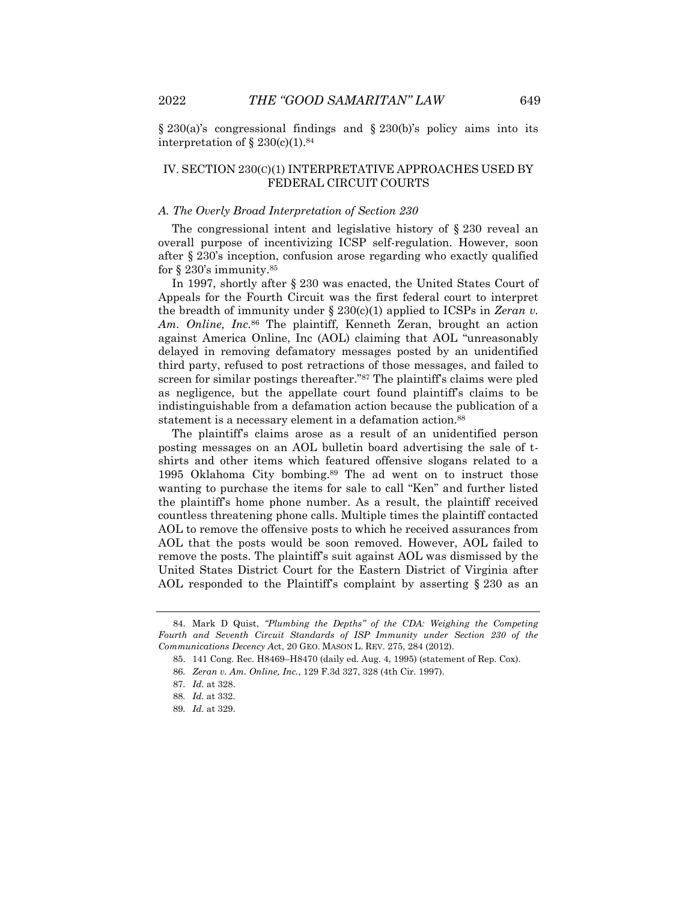§ 230(a)'s congressional findings and § 230(b)'s policy aims into its interpretation of  $\S 230(c)(1).$ <sup>84</sup>

# IV. SECTION 230(C)(1) INTERPRETATIVE APPROACHES USED BY FEDERAL CIRCUIT COURTS

### *A. The Overly Broad Interpretation of Section 230*

The congressional intent and legislative history of § 230 reveal an overall purpose of incentivizing ICSP self-regulation. However, soon after § 230's inception, confusion arose regarding who exactly qualified for  $\S 230$ 's immunity.<sup>85</sup>

In 1997, shortly after § 230 was enacted, the United States Court of Appeals for the Fourth Circuit was the first federal court to interpret the breadth of immunity under § 230(c)(1) applied to ICSPs in *Zeran v. Am. Online, Inc.*<sup>86</sup> The plaintiff, Kenneth Zeran, brought an action against America Online, Inc (AOL) claiming that AOL "unreasonably delayed in removing defamatory messages posted by an unidentified third party, refused to post retractions of those messages, and failed to screen for similar postings thereafter."<sup>87</sup> The plaintiff's claims were pled as negligence, but the appellate court found plaintiff's claims to be indistinguishable from a defamation action because the publication of a statement is a necessary element in a defamation action.<sup>88</sup>

The plaintiff's claims arose as a result of an unidentified person posting messages on an AOL bulletin board advertising the sale of tshirts and other items which featured offensive slogans related to a 1995 Oklahoma City bombing.<sup>89</sup> The ad went on to instruct those wanting to purchase the items for sale to call "Ken" and further listed the plaintiff's home phone number. As a result, the plaintiff received countless threatening phone calls. Multiple times the plaintiff contacted AOL to remove the offensive posts to which he received assurances from AOL that the posts would be soon removed. However, AOL failed to remove the posts. The plaintiff's suit against AOL was dismissed by the United States District Court for the Eastern District of Virginia after AOL responded to the Plaintiff's complaint by asserting § 230 as an

<sup>84.</sup> Mark D Quist, *"Plumbing the Depths" of the CDA: Weighing the Competing Fourth and Seventh Circuit Standards of ISP Immunity under Section 230 of the Communications Decency A*ct, 20 GEO. MASON L. REV. 275, 284 (2012).

<sup>85.</sup> 141 Cong. Rec. H8469–H8470 (daily ed. Aug. 4, 1995) (statement of Rep. Cox).

<sup>86</sup>*. Zeran v. Am. Online, Inc.*, 129 F.3d 327, 328 (4th Cir. 1997).

<sup>87</sup>*. Id.* at 328.

<sup>88</sup>*. Id.* at 332.

<sup>89</sup>*. Id.* at 329.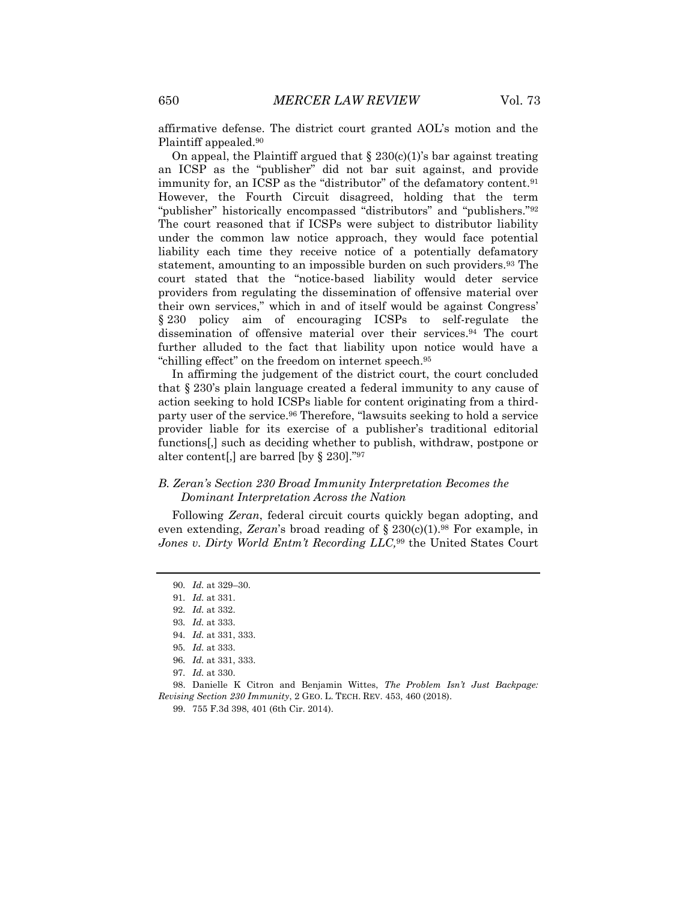affirmative defense. The district court granted AOL's motion and the Plaintiff appealed.<sup>90</sup>

On appeal, the Plaintiff argued that  $\S 230(c)(1)$ 's bar against treating an ICSP as the "publisher" did not bar suit against, and provide immunity for, an ICSP as the "distributor" of the defamatory content.<sup>91</sup> However, the Fourth Circuit disagreed, holding that the term "publisher" historically encompassed "distributors" and "publishers."<sup>92</sup> The court reasoned that if ICSPs were subject to distributor liability under the common law notice approach, they would face potential liability each time they receive notice of a potentially defamatory statement, amounting to an impossible burden on such providers.<sup>93</sup> The court stated that the "notice-based liability would deter service providers from regulating the dissemination of offensive material over their own services," which in and of itself would be against Congress' § 230 policy aim of encouraging ICSPs to self-regulate the dissemination of offensive material over their services.<sup>94</sup> The court further alluded to the fact that liability upon notice would have a "chilling effect" on the freedom on internet speech.<sup>95</sup>

In affirming the judgement of the district court, the court concluded that § 230's plain language created a federal immunity to any cause of action seeking to hold ICSPs liable for content originating from a thirdparty user of the service.<sup>96</sup> Therefore, "lawsuits seeking to hold a service provider liable for its exercise of a publisher's traditional editorial functions[,] such as deciding whether to publish, withdraw, postpone or alter content[,] are barred [by § 230]."<sup>97</sup>

# *B. Zeran's Section 230 Broad Immunity Interpretation Becomes the Dominant Interpretation Across the Nation*

Following *Zeran*, federal circuit courts quickly began adopting, and even extending, *Zeran*'s broad reading of § 230(c)(1).<sup>98</sup> For example, in *Jones v. Dirty World Entm't Recording LLC,*<sup>99</sup> the United States Court

98. Danielle K Citron and Benjamin Wittes, *The Problem Isn't Just Backpage: Revising Section 230 Immunity*, 2 GEO. L. TECH. REV. 453, 460 (2018).

<sup>90</sup>*. Id.* at 329–30.

<sup>91</sup>*. Id.* at 331.

<sup>92</sup>*. Id.* at 332.

<sup>93</sup>*. Id.* at 333.

<sup>94</sup>*. Id.* at 331, 333.

<sup>95</sup>*. Id.* at 333.

<sup>96</sup>*. Id.* at 331, 333.

<sup>97</sup>*. Id.* at 330.

<sup>99.</sup> 755 F.3d 398, 401 (6th Cir. 2014).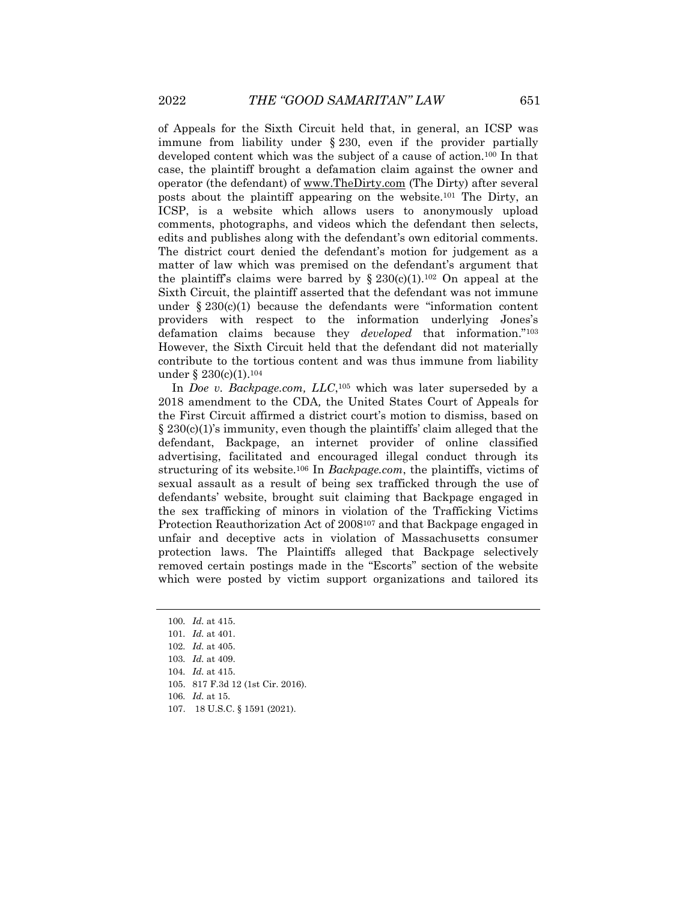of Appeals for the Sixth Circuit held that, in general, an ICSP was immune from liability under § 230, even if the provider partially developed content which was the subject of a cause of action.<sup>100</sup> In that case, the plaintiff brought a defamation claim against the owner and operator (the defendant) of [www.TheDirty.com](http://www.thedirty.com/) (The Dirty) after several posts about the plaintiff appearing on the website.<sup>101</sup> The Dirty, an ICSP, is a website which allows users to anonymously upload comments, photographs, and videos which the defendant then selects, edits and publishes along with the defendant's own editorial comments. The district court denied the defendant's motion for judgement as a matter of law which was premised on the defendant's argument that the plaintiff's claims were barred by  $\S 230(c)(1).^{102}$  On appeal at the Sixth Circuit, the plaintiff asserted that the defendant was not immune under  $\S 230(c)(1)$  because the defendants were "information content providers with respect to the information underlying Jones's defamation claims because they *developed* that information."<sup>103</sup> However, the Sixth Circuit held that the defendant did not materially contribute to the tortious content and was thus immune from liability under § 230(c)(1).<sup>104</sup>

In *Doe v. Backpage.com, LLC*,<sup>105</sup> which was later superseded by a 2018 amendment to the CDA*,* the United States Court of Appeals for the First Circuit affirmed a district court's motion to dismiss, based on  $\S 230(c)(1)$ 's immunity, even though the plaintiffs' claim alleged that the defendant, Backpage, an internet provider of online classified advertising, facilitated and encouraged illegal conduct through its structuring of its website.<sup>106</sup> In *Backpage.com*, the plaintiffs, victims of sexual assault as a result of being sex trafficked through the use of defendants' website, brought suit claiming that Backpage engaged in the sex trafficking of minors in violation of the Trafficking Victims Protection Reauthorization Act of 2008<sup>107</sup> and that Backpage engaged in unfair and deceptive acts in violation of Massachusetts consumer protection laws. The Plaintiffs alleged that Backpage selectively removed certain postings made in the "Escorts" section of the website which were posted by victim support organizations and tailored its

102*. Id.* at 405.

<sup>100</sup>*. Id.* at 415.

<sup>101</sup>*. Id.* at 401.

<sup>103</sup>*. Id.* at 409.

<sup>104</sup>*. Id.* at 415.

<sup>105.</sup> 817 F.3d 12 (1st Cir. 2016).

<sup>106</sup>*. Id.* at 15.

<sup>107.</sup> 18 U.S.C. § 1591 (2021).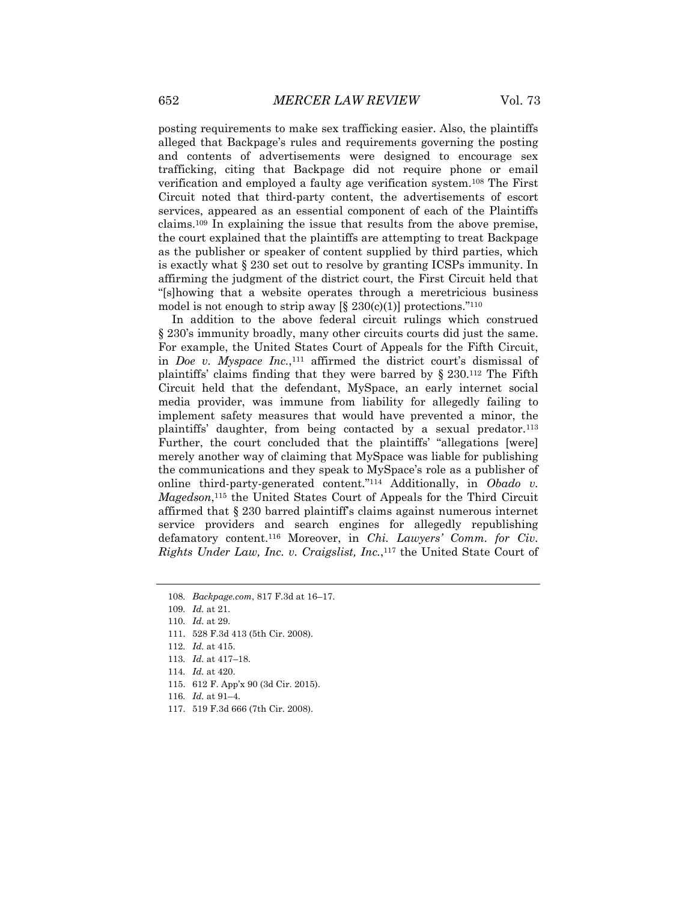posting requirements to make sex trafficking easier. Also, the plaintiffs alleged that Backpage's rules and requirements governing the posting and contents of advertisements were designed to encourage sex trafficking, citing that Backpage did not require phone or email verification and employed a faulty age verification system.<sup>108</sup> The First Circuit noted that third-party content, the advertisements of escort services, appeared as an essential component of each of the Plaintiffs claims.<sup>109</sup> In explaining the issue that results from the above premise, the court explained that the plaintiffs are attempting to treat Backpage as the publisher or speaker of content supplied by third parties, which is exactly what § 230 set out to resolve by granting ICSPs immunity. In affirming the judgment of the district court, the First Circuit held that "[s]howing that a website operates through a meretricious business model is not enough to strip away  $[\S 230(c)(1)]$  protections."<sup>110</sup>

In addition to the above federal circuit rulings which construed § 230's immunity broadly, many other circuits courts did just the same. For example, the United States Court of Appeals for the Fifth Circuit, in *Doe v. Myspace Inc.*, <sup>111</sup> affirmed the district court's dismissal of plaintiffs' claims finding that they were barred by § 230.<sup>112</sup> The Fifth Circuit held that the defendant, MySpace, an early internet social media provider, was immune from liability for allegedly failing to implement safety measures that would have prevented a minor, the plaintiffs' daughter, from being contacted by a sexual predator.<sup>113</sup> Further, the court concluded that the plaintiffs' "allegations [were] merely another way of claiming that MySpace was liable for publishing the communications and they speak to MySpace's role as a publisher of online third-party-generated content."<sup>114</sup> Additionally, in *Obado v. Magedson*, <sup>115</sup> the United States Court of Appeals for the Third Circuit affirmed that § 230 barred plaintiff's claims against numerous internet service providers and search engines for allegedly republishing defamatory content.<sup>116</sup> Moreover, in *Chi. Lawyers' Comm. for Civ. Rights Under Law, Inc. v. Craigslist, Inc.*, <sup>117</sup> the United State Court of

113*. Id.* at 417–18.

- 115. 612 F. App'x 90 (3d Cir. 2015).
- 116*. Id.* at 91–4.
- 117. 519 F.3d 666 (7th Cir. 2008).

<sup>108</sup>*. Backpage.com*, 817 F.3d at 16–17.

<sup>109</sup>*. Id.* at 21.

<sup>110</sup>*. Id.* at 29.

<sup>111.</sup> 528 F.3d 413 (5th Cir. 2008).

<sup>112</sup>*. Id.* at 415.

<sup>114</sup>*. Id.* at 420.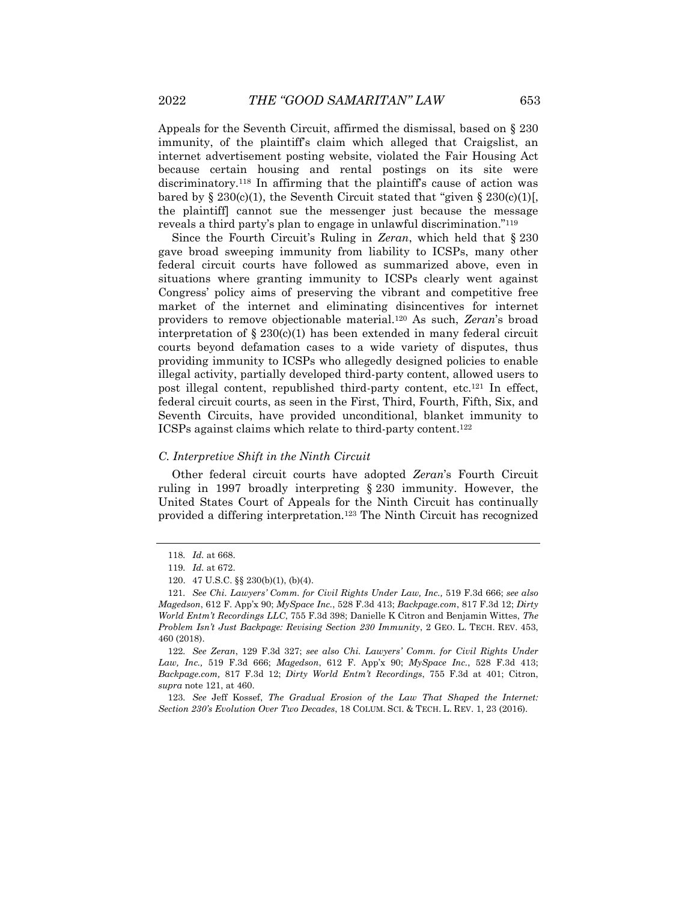Appeals for the Seventh Circuit, affirmed the dismissal, based on § 230 immunity, of the plaintiff's claim which alleged that Craigslist, an internet advertisement posting website, violated the Fair Housing Act because certain housing and rental postings on its site were discriminatory.<sup>118</sup> In affirming that the plaintiff's cause of action was bared by  $\S 230(c)(1)$ , the Seventh Circuit stated that "given  $\S 230(c)(1)$ . the plaintiff] cannot sue the messenger just because the message reveals a third party's plan to engage in unlawful discrimination."<sup>119</sup>

Since the Fourth Circuit's Ruling in *Zeran*, which held that § 230 gave broad sweeping immunity from liability to ICSPs, many other federal circuit courts have followed as summarized above, even in situations where granting immunity to ICSPs clearly went against Congress' policy aims of preserving the vibrant and competitive free market of the internet and eliminating disincentives for internet providers to remove objectionable material.<sup>120</sup> As such, *Zeran*'s broad interpretation of  $\S 230(c)(1)$  has been extended in many federal circuit courts beyond defamation cases to a wide variety of disputes, thus providing immunity to ICSPs who allegedly designed policies to enable illegal activity, partially developed third-party content, allowed users to post illegal content, republished third-party content, etc.<sup>121</sup> In effect, federal circuit courts, as seen in the First, Third, Fourth, Fifth, Six, and Seventh Circuits, have provided unconditional, blanket immunity to ICSPs against claims which relate to third-party content.<sup>122</sup>

#### *C. Interpretive Shift in the Ninth Circuit*

Other federal circuit courts have adopted *Zeran*'s Fourth Circuit ruling in 1997 broadly interpreting § 230 immunity. However, the United States Court of Appeals for the Ninth Circuit has continually provided a differing interpretation.<sup>123</sup> The Ninth Circuit has recognized

122*. See Zeran*, 129 F.3d 327; *see also Chi. Lawyers' Comm. for Civil Rights Under Law, Inc.,* 519 F.3d 666; *Magedson*, 612 F. App'x 90; *MySpace Inc.*, 528 F.3d 413; *Backpage.com,* 817 F.3d 12; *Dirty World Entm't Recordings*, 755 F.3d at 401; Citron, *supra* note 121, at 460.

123*. See* Jeff Kossef, *The Gradual Erosion of the Law That Shaped the Internet: Section 230's Evolution Over Two Decades*, 18 COLUM. SCI. & TECH. L. REV. 1, 23 (2016).

<sup>118</sup>*. Id.* at 668.

<sup>119</sup>*. Id.* at 672.

<sup>120.</sup> 47 U.S.C. §§ 230(b)(1), (b)(4).

<sup>121</sup>*. See Chi. Lawyers' Comm. for Civil Rights Under Law, Inc.,* 519 F.3d 666; *see also Magedson*, 612 F. App'x 90; *MySpace Inc.*, 528 F.3d 413; *Backpage.com*, 817 F.3d 12; *Dirty World Entm't Recordings LLC*, 755 F.3d 398; Danielle K Citron and Benjamin Wittes, *The Problem Isn't Just Backpage: Revising Section 230 Immunity*, 2 GEO. L. TECH. REV. 453, 460 (2018).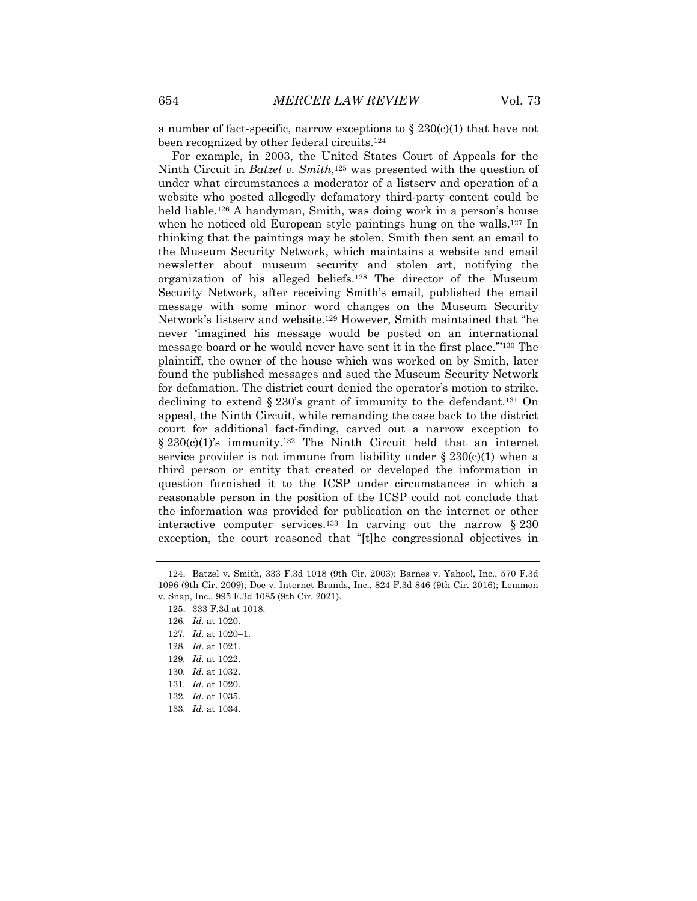a number of fact-specific, narrow exceptions to  $\S 230(c)(1)$  that have not been recognized by other federal circuits.<sup>124</sup>

For example, in 2003, the United States Court of Appeals for the Ninth Circuit in *Batzel v. Smith*, <sup>125</sup> was presented with the question of under what circumstances a moderator of a listserv and operation of a website who posted allegedly defamatory third-party content could be held liable.<sup>126</sup> A handyman, Smith, was doing work in a person's house when he noticed old European style paintings hung on the walls.<sup>127</sup> In thinking that the paintings may be stolen, Smith then sent an email to the Museum Security Network, which maintains a website and email newsletter about museum security and stolen art, notifying the organization of his alleged beliefs.<sup>128</sup> The director of the Museum Security Network, after receiving Smith's email, published the email message with some minor word changes on the Museum Security Network's listserv and website.<sup>129</sup> However, Smith maintained that "he never 'imagined his message would be posted on an international message board or he would never have sent it in the first place.'"<sup>130</sup> The plaintiff, the owner of the house which was worked on by Smith, later found the published messages and sued the Museum Security Network for defamation. The district court denied the operator's motion to strike, declining to extend  $\S 230$ 's grant of immunity to the defendant.<sup>131</sup> On appeal, the Ninth Circuit, while remanding the case back to the district court for additional fact-finding, carved out a narrow exception to  $§ 230(c)(1)'s$  immunity.<sup>132</sup> The Ninth Circuit held that an internet service provider is not immune from liability under  $\S 230(c)(1)$  when a third person or entity that created or developed the information in question furnished it to the ICSP under circumstances in which a reasonable person in the position of the ICSP could not conclude that the information was provided for publication on the internet or other interactive computer services.<sup>133</sup> In carving out the narrow  $\S 230$ exception, the court reasoned that "[t]he congressional objectives in

125. 333 F.3d at 1018.

129*. Id.* at 1022.

<sup>124.</sup> Batzel v. Smith, 333 F.3d 1018 (9th Cir. 2003); Barnes v. Yahoo!, Inc., 570 F.3d 1096 (9th Cir. 2009); Doe v. Internet Brands, Inc., 824 F.3d 846 (9th Cir. 2016); Lemmon v. Snap, Inc., 995 F.3d 1085 (9th Cir. 2021).

<sup>126</sup>*. Id.* at 1020.

<sup>127</sup>*. Id.* at 1020–1.

<sup>128</sup>*. Id.* at 1021.

<sup>130</sup>*. Id.* at 1032.

<sup>131</sup>*. Id.* at 1020.

<sup>132</sup>*. Id.* at 1035.

<sup>133</sup>*. Id.* at 1034.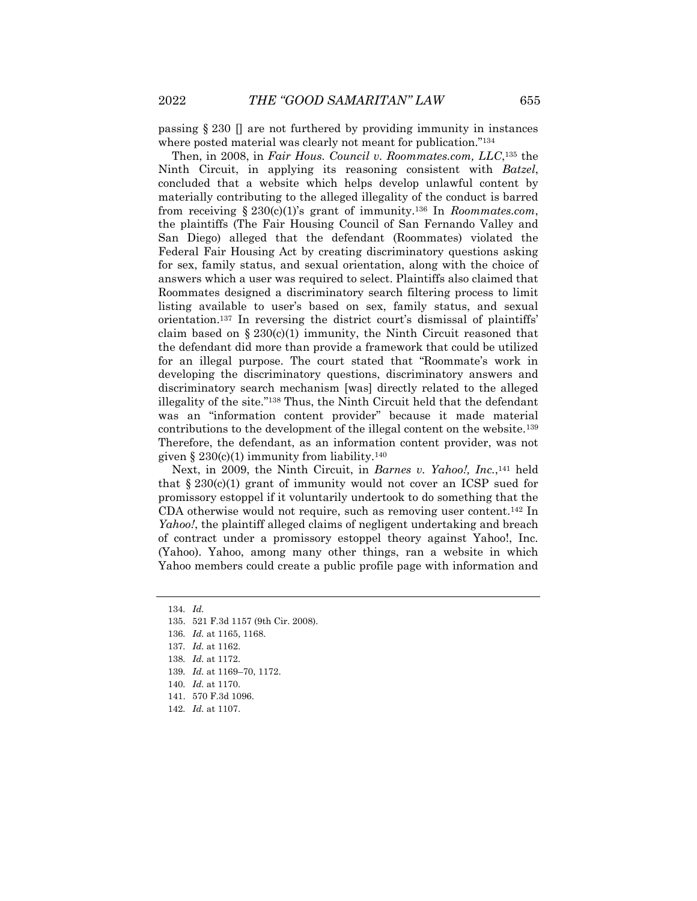passing  $\S 230 \Pi$  are not furthered by providing immunity in instances where posted material was clearly not meant for publication."<sup>134</sup>

Then, in 2008, in *Fair Hous. Council v. Roommates.com, LLC*, <sup>135</sup> the Ninth Circuit, in applying its reasoning consistent with *Batzel*, concluded that a website which helps develop unlawful content by materially contributing to the alleged illegality of the conduct is barred from receiving § 230(c)(1)'s grant of immunity.<sup>136</sup> In *Roommates.com*, the plaintiffs (The Fair Housing Council of San Fernando Valley and San Diego) alleged that the defendant (Roommates) violated the Federal Fair Housing Act by creating discriminatory questions asking for sex, family status, and sexual orientation, along with the choice of answers which a user was required to select. Plaintiffs also claimed that Roommates designed a discriminatory search filtering process to limit listing available to user's based on sex, family status, and sexual orientation.<sup>137</sup> In reversing the district court's dismissal of plaintiffs' claim based on  $\S 230(c)(1)$  immunity, the Ninth Circuit reasoned that the defendant did more than provide a framework that could be utilized for an illegal purpose. The court stated that "Roommate's work in developing the discriminatory questions, discriminatory answers and discriminatory search mechanism [was] directly related to the alleged illegality of the site."<sup>138</sup> Thus, the Ninth Circuit held that the defendant was an "information content provider" because it made material contributions to the development of the illegal content on the website.<sup>139</sup> Therefore, the defendant, as an information content provider, was not given §  $230(c)(1)$  immunity from liability.<sup>140</sup>

Next, in 2009, the Ninth Circuit, in *Barnes v. Yahoo!*, Inc.,<sup>141</sup> held that  $\S 230(c)(1)$  grant of immunity would not cover an ICSP sued for promissory estoppel if it voluntarily undertook to do something that the CDA otherwise would not require, such as removing user content.<sup>142</sup> In *Yahoo!*, the plaintiff alleged claims of negligent undertaking and breach of contract under a promissory estoppel theory against Yahoo!, Inc. (Yahoo). Yahoo, among many other things, ran a website in which Yahoo members could create a public profile page with information and

<sup>134</sup>*. Id.*

<sup>135.</sup> 521 F.3d 1157 (9th Cir. 2008).

<sup>136</sup>*. Id.* at 1165, 1168.

<sup>137</sup>*. Id.* at 1162.

<sup>138</sup>*. Id.* at 1172.

<sup>139</sup>*. Id.* at 1169–70, 1172.

<sup>140</sup>*. Id.* at 1170.

<sup>141.</sup> 570 F.3d 1096.

<sup>142</sup>*. Id.* at 1107.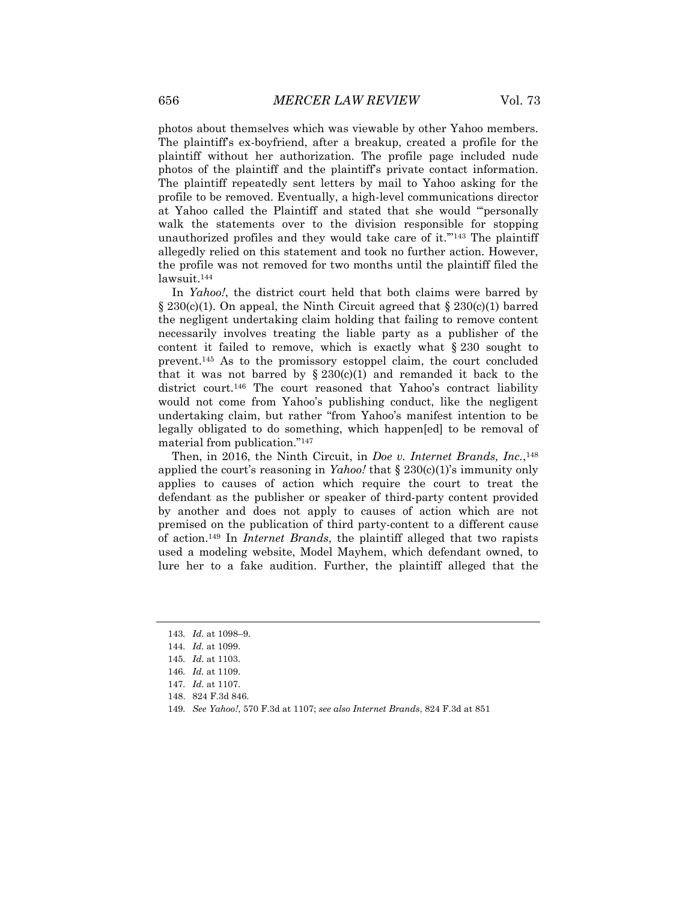photos about themselves which was viewable by other Yahoo members. The plaintiff's ex-boyfriend, after a breakup, created a profile for the plaintiff without her authorization. The profile page included nude photos of the plaintiff and the plaintiff's private contact information. The plaintiff repeatedly sent letters by mail to Yahoo asking for the profile to be removed. Eventually, a high-level communications director at Yahoo called the Plaintiff and stated that she would "'personally walk the statements over to the division responsible for stopping unauthorized profiles and they would take care of it.'"<sup>143</sup> The plaintiff allegedly relied on this statement and took no further action. However, the profile was not removed for two months until the plaintiff filed the lawsuit.<sup>144</sup>

In *Yahoo!*, the district court held that both claims were barred by  $\S 230(c)(1)$ . On appeal, the Ninth Circuit agreed that  $\S 230(c)(1)$  barred the negligent undertaking claim holding that failing to remove content necessarily involves treating the liable party as a publisher of the content it failed to remove, which is exactly what  $\S 230$  sought to prevent.<sup>145</sup> As to the promissory estoppel claim, the court concluded that it was not barred by  $\S 230(c)(1)$  and remanded it back to the district court.<sup>146</sup> The court reasoned that Yahoo's contract liability would not come from Yahoo's publishing conduct, like the negligent undertaking claim, but rather "from Yahoo's manifest intention to be legally obligated to do something, which happen[ed] to be removal of material from publication." 147

Then, in 2016, the Ninth Circuit, in *Doe v. Internet Brands, Inc.*, 148 applied the court's reasoning in *Yahoo!* that § 230(c)(1)'s immunity only applies to causes of action which require the court to treat the defendant as the publisher or speaker of third-party content provided by another and does not apply to causes of action which are not premised on the publication of third party-content to a different cause of action.<sup>149</sup> In *Internet Brands*, the plaintiff alleged that two rapists used a modeling website, Model Mayhem, which defendant owned, to lure her to a fake audition. Further, the plaintiff alleged that the

<sup>143</sup>*. Id.* at 1098–9.

<sup>144</sup>*. Id.* at 1099.

<sup>145</sup>*. Id.* at 1103.

<sup>146</sup>*. Id.* at 1109.

<sup>147</sup>*. Id.* at 1107.

<sup>148.</sup> 824 F.3d 846.

<sup>149</sup>*. See Yahoo!*, 570 F.3d at 1107; *see also Internet Brands*, 824 F.3d at 851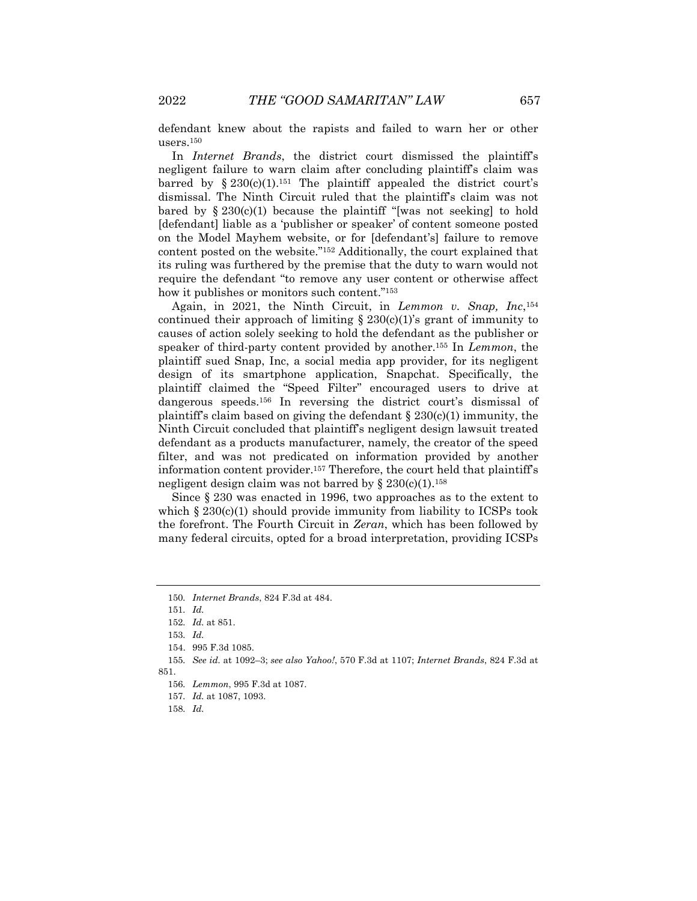defendant knew about the rapists and failed to warn her or other users.<sup>150</sup>

In *Internet Brands*, the district court dismissed the plaintiff's negligent failure to warn claim after concluding plaintiff's claim was barred by  $\S 230(c)(1).$ <sup>151</sup> The plaintiff appealed the district court's dismissal. The Ninth Circuit ruled that the plaintiff's claim was not bared by  $\S 230(c)(1)$  because the plaintiff "[was not seeking] to hold [defendant] liable as a 'publisher or speaker' of content someone posted on the Model Mayhem website, or for [defendant's] failure to remove content posted on the website."<sup>152</sup> Additionally, the court explained that its ruling was furthered by the premise that the duty to warn would not require the defendant "to remove any user content or otherwise affect how it publishes or monitors such content."<sup>153</sup>

Again, in 2021, the Ninth Circuit, in *Lemmon v. Snap, Inc*, 154 continued their approach of limiting  $\S 230(c)(1)$ 's grant of immunity to causes of action solely seeking to hold the defendant as the publisher or speaker of third-party content provided by another.<sup>155</sup> In *Lemmon*, the plaintiff sued Snap, Inc, a social media app provider, for its negligent design of its smartphone application, Snapchat. Specifically, the plaintiff claimed the "Speed Filter" encouraged users to drive at dangerous speeds.<sup>156</sup> In reversing the district court's dismissal of plaintiff's claim based on giving the defendant  $\S 230(c)(1)$  immunity, the Ninth Circuit concluded that plaintiff's negligent design lawsuit treated defendant as a products manufacturer, namely, the creator of the speed filter, and was not predicated on information provided by another information content provider.<sup>157</sup> Therefore, the court held that plaintiff's negligent design claim was not barred by  $\S 230(c)(1).$ <sup>158</sup>

Since § 230 was enacted in 1996, two approaches as to the extent to which  $\S 230(c)(1)$  should provide immunity from liability to ICSPs took the forefront. The Fourth Circuit in *Zeran*, which has been followed by many federal circuits, opted for a broad interpretation, providing ICSPs

<sup>150</sup>*. Internet Brands*, 824 F.3d at 484.

<sup>151</sup>*. Id.*

<sup>152</sup>*. Id.* at 851.

<sup>153</sup>*. Id.*

<sup>154.</sup> 995 F.3d 1085.

<sup>155</sup>*. See id.* at 1092–3; *see also Yahoo!*, 570 F.3d at 1107; *Internet Brands*, 824 F.3d at 851.

<sup>156</sup>*. Lemmon*, 995 F.3d at 1087.

<sup>157</sup>*. Id.* at 1087, 1093.

<sup>158</sup>*. Id.*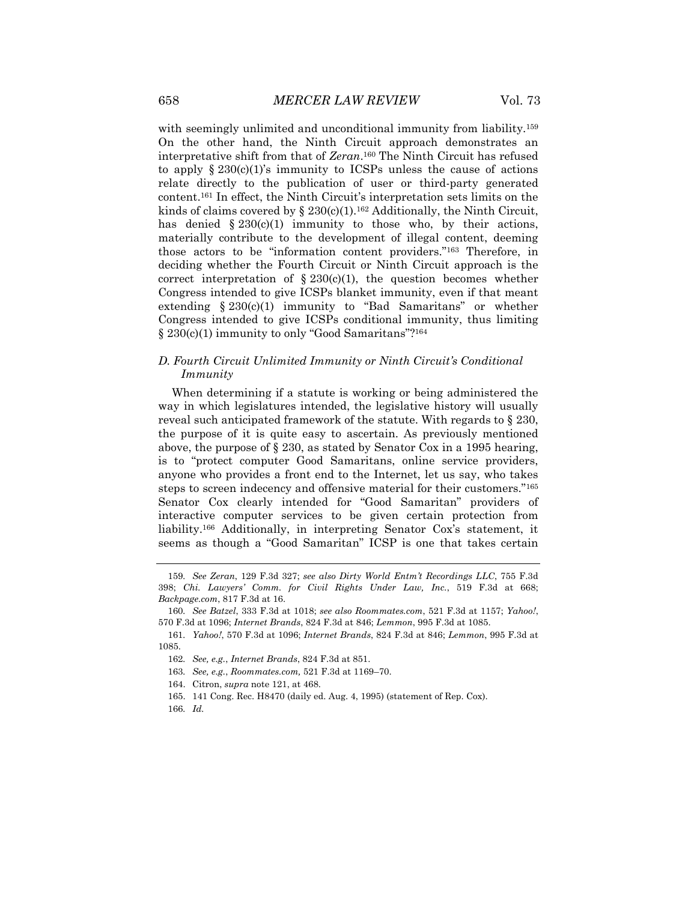with seemingly unlimited and unconditional immunity from liability.<sup>159</sup> On the other hand, the Ninth Circuit approach demonstrates an interpretative shift from that of *Zeran*. <sup>160</sup> The Ninth Circuit has refused to apply  $\S 230(c)(1)$ 's immunity to ICSPs unless the cause of actions relate directly to the publication of user or third-party generated content.<sup>161</sup> In effect, the Ninth Circuit's interpretation sets limits on the kinds of claims covered by  $\S 230(c)(1).$ <sup>162</sup> Additionally, the Ninth Circuit, has denied  $\S 230(c)(1)$  immunity to those who, by their actions, materially contribute to the development of illegal content, deeming those actors to be "information content providers."<sup>163</sup> Therefore, in deciding whether the Fourth Circuit or Ninth Circuit approach is the correct interpretation of  $\S 230(c)(1)$ , the question becomes whether Congress intended to give ICSPs blanket immunity, even if that meant extending  $§ 230(c)(1)$  immunity to "Bad Samaritans" or whether Congress intended to give ICSPs conditional immunity, thus limiting § 230(c)(1) immunity to only "Good Samaritans"?<sup>164</sup>

# *D. Fourth Circuit Unlimited Immunity or Ninth Circuit's Conditional Immunity*

When determining if a statute is working or being administered the way in which legislatures intended, the legislative history will usually reveal such anticipated framework of the statute. With regards to § 230, the purpose of it is quite easy to ascertain. As previously mentioned above, the purpose of § 230, as stated by Senator Cox in a 1995 hearing, is to "protect computer Good Samaritans, online service providers, anyone who provides a front end to the Internet, let us say, who takes steps to screen indecency and offensive material for their customers."<sup>165</sup> Senator Cox clearly intended for "Good Samaritan" providers of interactive computer services to be given certain protection from liability.<sup>166</sup> Additionally, in interpreting Senator Cox's statement, it seems as though a "Good Samaritan" ICSP is one that takes certain

- 164. Citron, *supra* note 121, at 468.
- 165. 141 Cong. Rec. H8470 (daily ed. Aug. 4, 1995) (statement of Rep. Cox).
- 166*. Id.*

<sup>159</sup>*. See Zeran*, 129 F.3d 327; *see also Dirty World Entm't Recordings LLC*, 755 F.3d 398; *Chi. Lawyers' Comm. for Civil Rights Under Law, Inc.*, 519 F.3d at 668; *Backpage.com*, 817 F.3d at 16.

<sup>160</sup>*. See Batzel*, 333 F.3d at 1018; *see also Roommates.com*, 521 F.3d at 1157; *Yahoo!*, 570 F.3d at 1096; *Internet Brands*, 824 F.3d at 846; *Lemmon*, 995 F.3d at 1085.

<sup>161</sup>*. Yahoo!*, 570 F.3d at 1096; *Internet Brands*, 824 F.3d at 846; *Lemmon*, 995 F.3d at 1085.

<sup>162</sup>*. See, e.g.*, *Internet Brands*, 824 F.3d at 851.

<sup>163</sup>*. See, e.g.*, *Roommates.com,* 521 F.3d at 1169–70.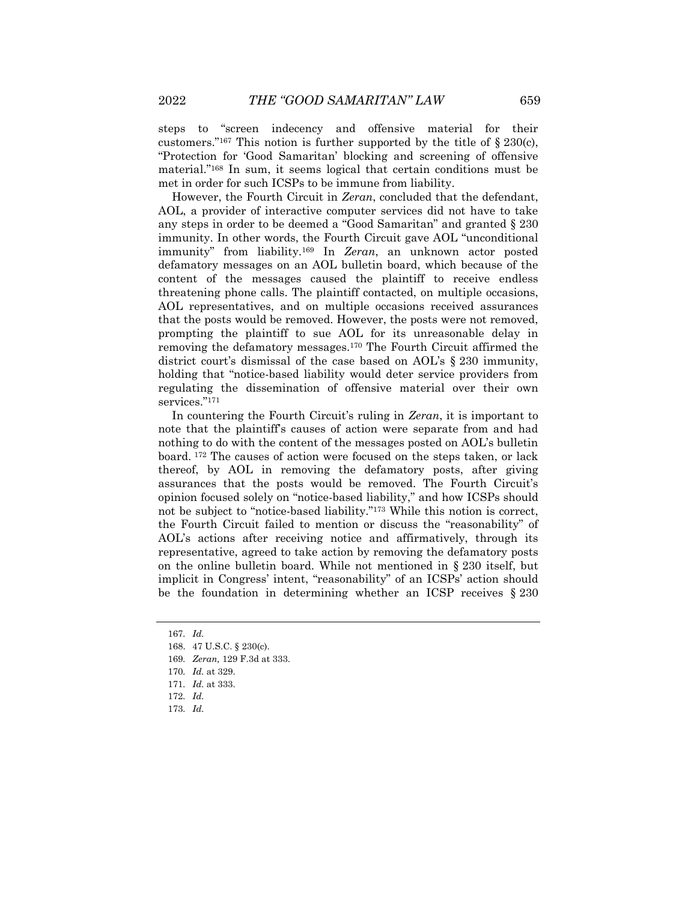steps to "screen indecency and offensive material for their customers."<sup>167</sup> This notion is further supported by the title of  $\S 230(c)$ , "Protection for 'Good Samaritan' blocking and screening of offensive material."<sup>168</sup> In sum, it seems logical that certain conditions must be met in order for such ICSPs to be immune from liability.

However, the Fourth Circuit in *Zeran*, concluded that the defendant, AOL, a provider of interactive computer services did not have to take any steps in order to be deemed a "Good Samaritan" and granted § 230 immunity. In other words, the Fourth Circuit gave AOL "unconditional immunity" from liability.<sup>169</sup> In *Zeran*, an unknown actor posted defamatory messages on an AOL bulletin board, which because of the content of the messages caused the plaintiff to receive endless threatening phone calls. The plaintiff contacted, on multiple occasions, AOL representatives, and on multiple occasions received assurances that the posts would be removed. However, the posts were not removed, prompting the plaintiff to sue AOL for its unreasonable delay in removing the defamatory messages.<sup>170</sup> The Fourth Circuit affirmed the district court's dismissal of the case based on AOL's § 230 immunity, holding that "notice-based liability would deter service providers from regulating the dissemination of offensive material over their own services."171

In countering the Fourth Circuit's ruling in *Zeran*, it is important to note that the plaintiff's causes of action were separate from and had nothing to do with the content of the messages posted on AOL's bulletin board. <sup>172</sup> The causes of action were focused on the steps taken, or lack thereof, by AOL in removing the defamatory posts, after giving assurances that the posts would be removed. The Fourth Circuit's opinion focused solely on "notice-based liability," and how ICSPs should not be subject to "notice-based liability."<sup>173</sup> While this notion is correct, the Fourth Circuit failed to mention or discuss the "reasonability" of AOL's actions after receiving notice and affirmatively, through its representative, agreed to take action by removing the defamatory posts on the online bulletin board. While not mentioned in § 230 itself, but implicit in Congress' intent, "reasonability" of an ICSPs' action should be the foundation in determining whether an ICSP receives § 230

<sup>167</sup>*. Id.*

<sup>168.</sup> 47 U.S.C. § 230(c).

<sup>169</sup>*. Zeran,* 129 F.3d at 333.

<sup>170</sup>*. Id.* at 329.

<sup>171</sup>*. Id.* at 333.

<sup>172</sup>*. Id.*

<sup>173</sup>*. Id.*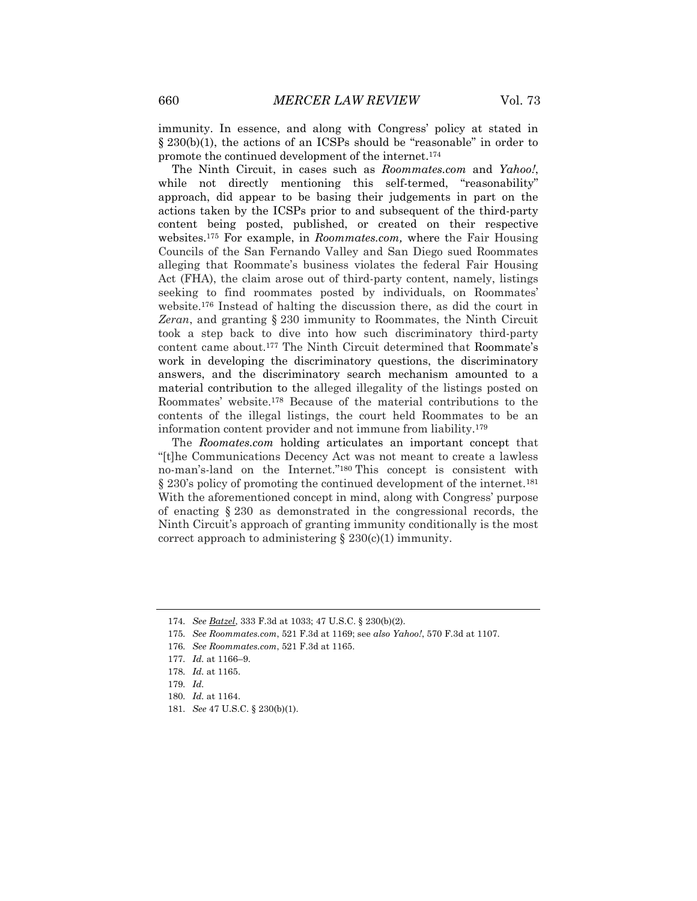immunity. In essence, and along with Congress' policy at stated in § 230(b)(1), the actions of an ICSPs should be "reasonable" in order to promote the continued development of the internet.<sup>174</sup>

The Ninth Circuit, in cases such as *Roommates.com* and *Yahoo!*, while not directly mentioning this self-termed, "reasonability" approach, did appear to be basing their judgements in part on the actions taken by the ICSPs prior to and subsequent of the third-party content being posted, published, or created on their respective websites.<sup>175</sup> For example, in *Roommates.com,* where the Fair Housing Councils of the San Fernando Valley and San Diego sued Roommates alleging that Roommate's business violates the federal Fair Housing Act (FHA), the claim arose out of third-party content, namely, listings seeking to find roommates posted by individuals, on Roommates' website.<sup>176</sup> Instead of halting the discussion there, as did the court in *Zeran*, and granting § 230 immunity to Roommates, the Ninth Circuit took a step back to dive into how such discriminatory third-party content came about.<sup>177</sup> The Ninth Circuit determined that Roommate's work in developing the discriminatory questions, the discriminatory answers, and the discriminatory search mechanism amounted to a material contribution to the alleged illegality of the listings posted on Roommates' website.<sup>178</sup> Because of the material contributions to the contents of the illegal listings, the court held Roommates to be an information content provider and not immune from liability.<sup>179</sup>

The *Roomates.com* holding articulates an important concept that "[t]he Communications Decency Act was not meant to create a lawless no-man's-land on the Internet."<sup>180</sup> This concept is consistent with § 230's policy of promoting the continued development of the internet.<sup>181</sup> With the aforementioned concept in mind, along with Congress' purpose of enacting § 230 as demonstrated in the congressional records, the Ninth Circuit's approach of granting immunity conditionally is the most correct approach to administering  $\S 230(c)(1)$  immunity.

<sup>174</sup>*. See Batzel*, 333 F.3d at 1033; 47 U.S.C. § 230(b)(2).

<sup>175</sup>*. See Roommates.com*, 521 F.3d at 1169; see *also Yahoo!*, 570 F.3d at 1107.

<sup>176</sup>*. See Roommates.com*, 521 F.3d at 1165.

<sup>177</sup>*. Id.* at 1166–9.

<sup>178</sup>*. Id.* at 1165.

<sup>179</sup>*. Id.*

<sup>180</sup>*. Id.* at 1164.

<sup>181</sup>*. See* 47 U.S.C. § 230(b)(1).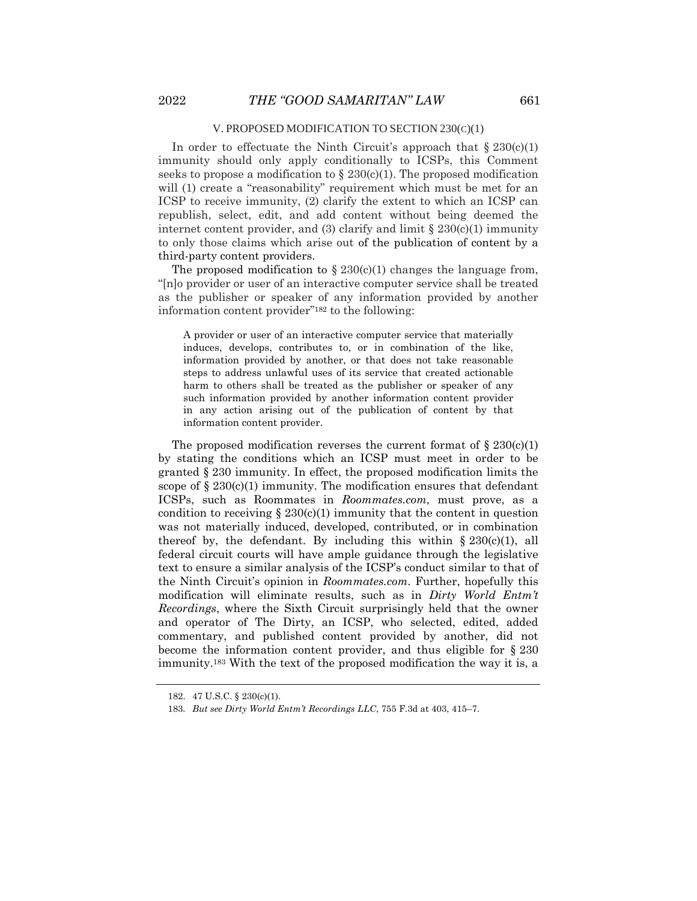#### V. PROPOSED MODIFICATION TO SECTION 230(C)(1)

In order to effectuate the Ninth Circuit's approach that  $\S 230(c)(1)$ immunity should only apply conditionally to ICSPs, this Comment seeks to propose a modification to  $\S 230(c)(1)$ . The proposed modification will (1) create a "reasonability" requirement which must be met for an ICSP to receive immunity, (2) clarify the extent to which an ICSP can republish, select, edit, and add content without being deemed the internet content provider, and (3) clarify and limit  $\S 230(c)(1)$  immunity to only those claims which arise out of the publication of content by a third-party content providers.

The proposed modification to  $\S 230(c)(1)$  changes the language from, "[n]o provider or user of an interactive computer service shall be treated as the publisher or speaker of any information provided by another information content provider"<sup>182</sup> to the following:

A provider or user of an interactive computer service that materially induces, develops, contributes to, or in combination of the like, information provided by another, or that does not take reasonable steps to address unlawful uses of its service that created actionable harm to others shall be treated as the publisher or speaker of any such information provided by another information content provider in any action arising out of the publication of content by that information content provider.

The proposed modification reverses the current format of  $\S 230(c)(1)$ by stating the conditions which an ICSP must meet in order to be granted § 230 immunity. In effect, the proposed modification limits the scope of  $\S 230(c)(1)$  immunity. The modification ensures that defendant ICSPs, such as Roommates in *Roommates.com*, must prove, as a condition to receiving  $\S 230(c)(1)$  immunity that the content in question was not materially induced, developed, contributed, or in combination thereof by, the defendant. By including this within  $\S 230(c)(1)$ , all federal circuit courts will have ample guidance through the legislative text to ensure a similar analysis of the ICSP's conduct similar to that of the Ninth Circuit's opinion in *Roommates.com*. Further, hopefully this modification will eliminate results, such as in *Dirty World Entm't Recordings*, where the Sixth Circuit surprisingly held that the owner and operator of The Dirty, an ICSP, who selected, edited, added commentary, and published content provided by another, did not become the information content provider, and thus eligible for § 230 immunity.<sup>183</sup> With the text of the proposed modification the way it is, a

<sup>182.</sup> 47 U.S.C. § 230(c)(1).

<sup>183</sup>*. But see Dirty World Entm't Recordings LLC*, 755 F.3d at 403, 415–7.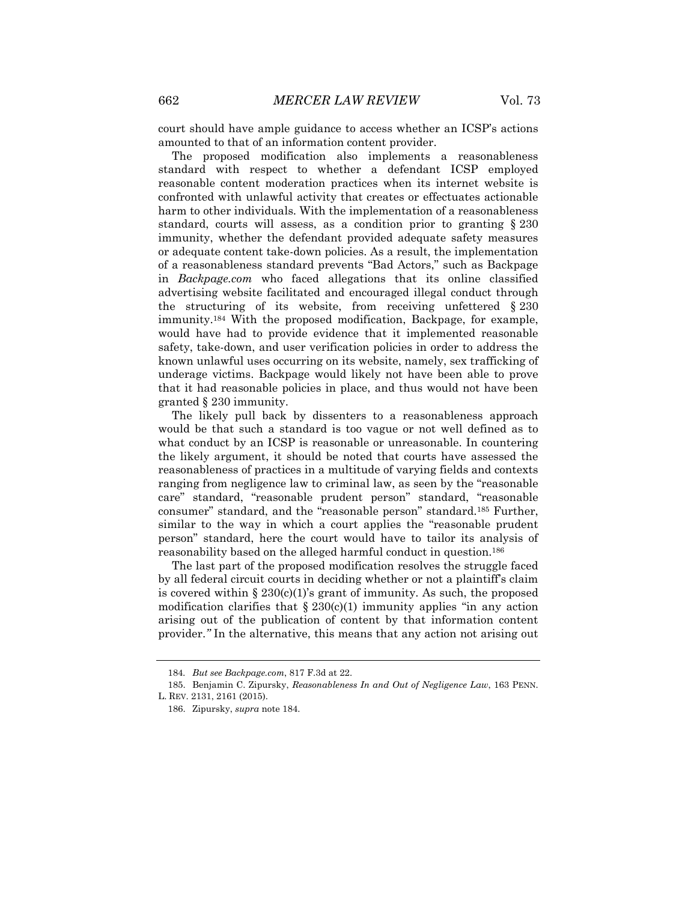court should have ample guidance to access whether an ICSP's actions amounted to that of an information content provider.

The proposed modification also implements a reasonableness standard with respect to whether a defendant ICSP employed reasonable content moderation practices when its internet website is confronted with unlawful activity that creates or effectuates actionable harm to other individuals. With the implementation of a reasonableness standard, courts will assess, as a condition prior to granting § 230 immunity, whether the defendant provided adequate safety measures or adequate content take-down policies. As a result, the implementation of a reasonableness standard prevents "Bad Actors," such as Backpage in *Backpage.com* who faced allegations that its online classified advertising website facilitated and encouraged illegal conduct through the structuring of its website, from receiving unfettered § 230 immunity.<sup>184</sup> With the proposed modification, Backpage, for example, would have had to provide evidence that it implemented reasonable safety, take-down, and user verification policies in order to address the known unlawful uses occurring on its website, namely, sex trafficking of underage victims. Backpage would likely not have been able to prove that it had reasonable policies in place, and thus would not have been granted § 230 immunity.

The likely pull back by dissenters to a reasonableness approach would be that such a standard is too vague or not well defined as to what conduct by an ICSP is reasonable or unreasonable. In countering the likely argument, it should be noted that courts have assessed the reasonableness of practices in a multitude of varying fields and contexts ranging from negligence law to criminal law, as seen by the "reasonable care" standard, "reasonable prudent person" standard, "reasonable consumer" standard, and the "reasonable person" standard.<sup>185</sup> Further, similar to the way in which a court applies the "reasonable prudent person" standard, here the court would have to tailor its analysis of reasonability based on the alleged harmful conduct in question.<sup>186</sup>

The last part of the proposed modification resolves the struggle faced by all federal circuit courts in deciding whether or not a plaintiff's claim is covered within  $\S 230(c)(1)$ 's grant of immunity. As such, the proposed modification clarifies that  $\S 230(c)(1)$  immunity applies "in any action arising out of the publication of content by that information content provider.*"* In the alternative, this means that any action not arising out

<sup>184</sup>*. But see Backpage.com*, 817 F.3d at 22.

<sup>185.</sup> Benjamin C. Zipursky, *Reasonableness In and Out of Negligence Law*, 163 PENN.

L. REV. 2131, 2161 (2015).

<sup>186.</sup> Zipursky, *supra* note 184.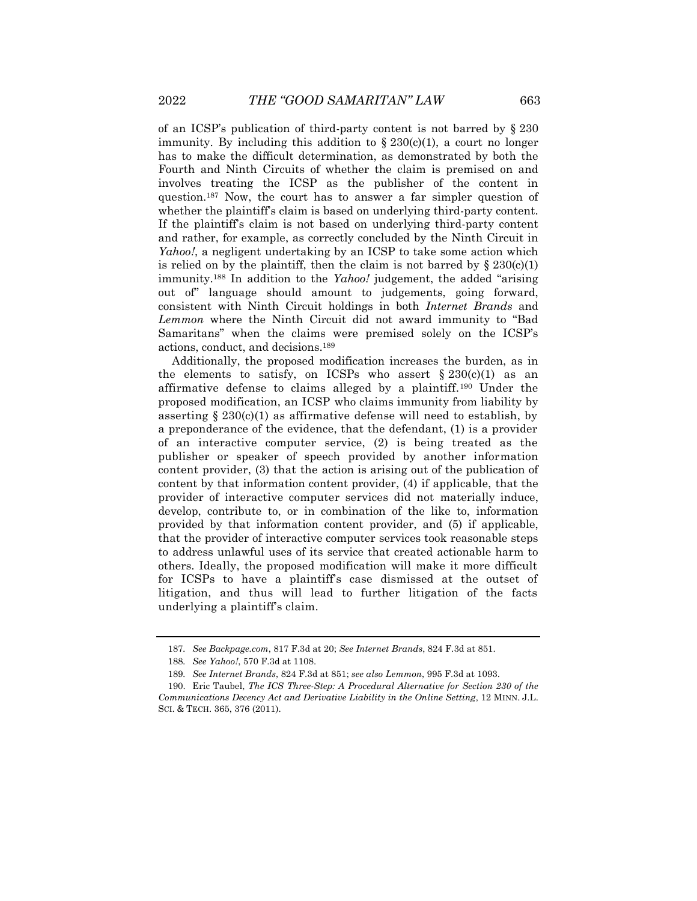of an ICSP's publication of third-party content is not barred by § 230 immunity. By including this addition to  $\S 230(c)(1)$ , a court no longer has to make the difficult determination, as demonstrated by both the Fourth and Ninth Circuits of whether the claim is premised on and involves treating the ICSP as the publisher of the content in question.<sup>187</sup> Now, the court has to answer a far simpler question of whether the plaintiff's claim is based on underlying third-party content. If the plaintiff's claim is not based on underlying third-party content and rather, for example, as correctly concluded by the Ninth Circuit in *Yahoo!*, a negligent undertaking by an ICSP to take some action which is relied on by the plaintiff, then the claim is not barred by  $\S 230(c)(1)$ immunity.<sup>188</sup> In addition to the *Yahoo!* judgement, the added "arising out of" language should amount to judgements, going forward, consistent with Ninth Circuit holdings in both *Internet Brands* and *Lemmon* where the Ninth Circuit did not award immunity to "Bad Samaritans" when the claims were premised solely on the ICSP's actions, conduct, and decisions.<sup>189</sup>

Additionally, the proposed modification increases the burden, as in the elements to satisfy, on ICSPs who assert  $\S 230(c)(1)$  as an affirmative defense to claims alleged by a plaintiff.<sup>190</sup> Under the proposed modification, an ICSP who claims immunity from liability by asserting  $\S 230(c)(1)$  as affirmative defense will need to establish, by a preponderance of the evidence, that the defendant, (1) is a provider of an interactive computer service, (2) is being treated as the publisher or speaker of speech provided by another information content provider, (3) that the action is arising out of the publication of content by that information content provider, (4) if applicable, that the provider of interactive computer services did not materially induce, develop, contribute to, or in combination of the like to, information provided by that information content provider, and (5) if applicable, that the provider of interactive computer services took reasonable steps to address unlawful uses of its service that created actionable harm to others. Ideally, the proposed modification will make it more difficult for ICSPs to have a plaintiff's case dismissed at the outset of litigation, and thus will lead to further litigation of the facts underlying a plaintiff's claim.

<sup>187</sup>*. See Backpage.com*, 817 F.3d at 20; *See Internet Brands*, 824 F.3d at 851.

<sup>188</sup>*. See Yahoo!*, 570 F.3d at 1108.

<sup>189</sup>*. See Internet Brands*, 824 F.3d at 851; *see also Lemmon*, 995 F.3d at 1093.

<sup>190.</sup> Eric Taubel, *The ICS Three-Step: A Procedural Alternative for Section 230 of the Communications Decency Act and Derivative Liability in the Online Setting*, 12 MINN. J.L. SCI. & TECH. 365, 376 (2011).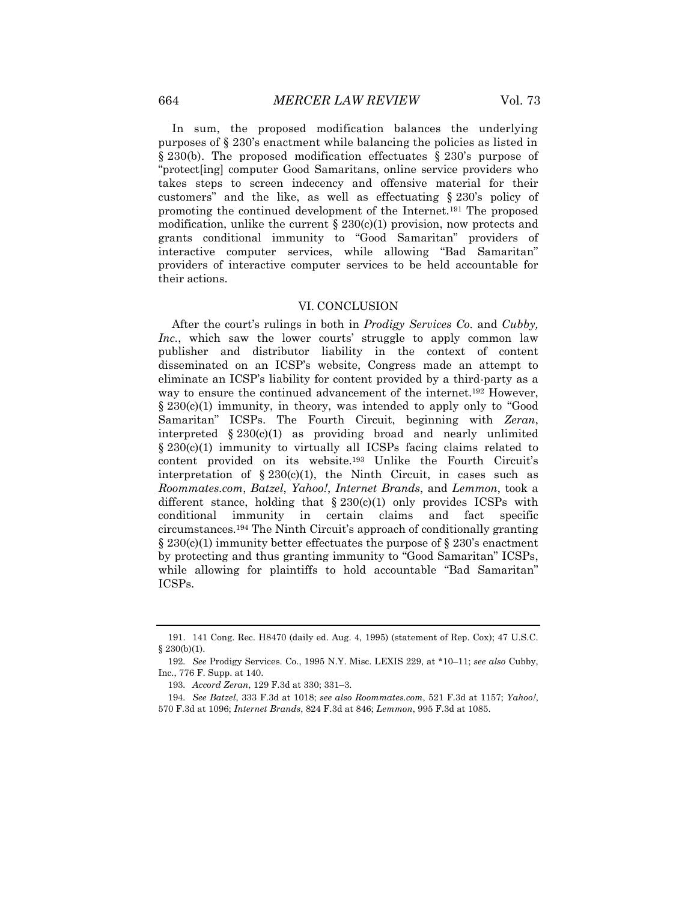In sum, the proposed modification balances the underlying purposes of § 230's enactment while balancing the policies as listed in § 230(b). The proposed modification effectuates § 230's purpose of "protect[ing] computer Good Samaritans, online service providers who takes steps to screen indecency and offensive material for their customers" and the like, as well as effectuating § 230's policy of promoting the continued development of the Internet.<sup>191</sup> The proposed modification, unlike the current  $\S 230(c)(1)$  provision, now protects and grants conditional immunity to "Good Samaritan" providers of interactive computer services, while allowing "Bad Samaritan" providers of interactive computer services to be held accountable for their actions.

### VI. CONCLUSION

After the court's rulings in both in *Prodigy Services Co.* and *Cubby, Inc.*, which saw the lower courts' struggle to apply common law publisher and distributor liability in the context of content disseminated on an ICSP's website, Congress made an attempt to eliminate an ICSP's liability for content provided by a third-party as a way to ensure the continued advancement of the internet.<sup>192</sup> However, § 230(c)(1) immunity, in theory, was intended to apply only to "Good Samaritan" ICSPs. The Fourth Circuit, beginning with *Zeran*, interpreted  $\S 230(c)(1)$  as providing broad and nearly unlimited  $\S 230(c)(1)$  immunity to virtually all ICSPs facing claims related to content provided on its website.<sup>193</sup> Unlike the Fourth Circuit's interpretation of  $\S 230(c)(1)$ , the Ninth Circuit, in cases such as *Roommates.com*, *Batzel*, *Yahoo!*, *Internet Brands*, and *Lemmon*, took a different stance, holding that  $\S 230(c)(1)$  only provides ICSPs with conditional immunity in certain claims and fact specific circumstances.<sup>194</sup> The Ninth Circuit's approach of conditionally granting  $\S 230(c)(1)$  immunity better effectuates the purpose of  $\S 230's$  enactment by protecting and thus granting immunity to "Good Samaritan" ICSPs, while allowing for plaintiffs to hold accountable "Bad Samaritan" ICSPs.

<sup>191.</sup> 141 Cong. Rec. H8470 (daily ed. Aug. 4, 1995) (statement of Rep. Cox); 47 U.S.C.  $§$  230(b)(1).

<sup>192</sup>*. See* Prodigy Services. Co., 1995 N.Y. Misc. LEXIS 229, at \*10–11; *see also* Cubby, Inc., 776 F. Supp. at 140.

<sup>193</sup>*. Accord Zeran*, 129 F.3d at 330; 331–3.

<sup>194</sup>*. See Batzel*, 333 F.3d at 1018; *see also Roommates.com*, 521 F.3d at 1157; *Yahoo!*, 570 F.3d at 1096; *Internet Brands*, 824 F.3d at 846; *Lemmon*, 995 F.3d at 1085.